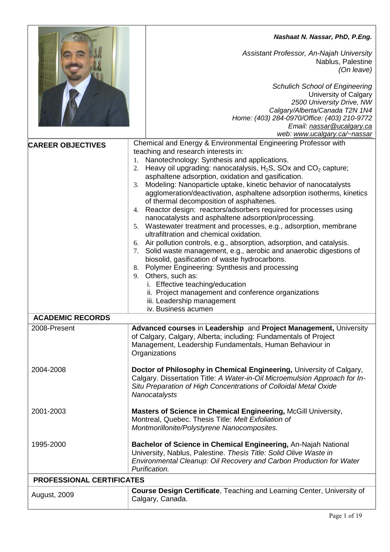|                                  | Nashaat N. Nassar, PhD, P.Eng.                                                                                                                                                                                                                                                                                                                                                                                                                                                                                                                                                                                                                                                                                                                                                                                                                                                                                                                                                                                                                                                                                                                                     |
|----------------------------------|--------------------------------------------------------------------------------------------------------------------------------------------------------------------------------------------------------------------------------------------------------------------------------------------------------------------------------------------------------------------------------------------------------------------------------------------------------------------------------------------------------------------------------------------------------------------------------------------------------------------------------------------------------------------------------------------------------------------------------------------------------------------------------------------------------------------------------------------------------------------------------------------------------------------------------------------------------------------------------------------------------------------------------------------------------------------------------------------------------------------------------------------------------------------|
|                                  | Assistant Professor, An-Najah University<br>Nablus, Palestine<br>(On leave)                                                                                                                                                                                                                                                                                                                                                                                                                                                                                                                                                                                                                                                                                                                                                                                                                                                                                                                                                                                                                                                                                        |
|                                  | <b>Schulich School of Engineering</b><br>University of Calgary<br>2500 University Drive, NW<br>Calgary/Alberta/Canada T2N 1N4<br>Home: (403) 284-0970/Office: (403) 210-9772<br>Email: nassar@ucalgary.ca<br>web: www.ucalgary.ca/~nassar                                                                                                                                                                                                                                                                                                                                                                                                                                                                                                                                                                                                                                                                                                                                                                                                                                                                                                                          |
| <b>CAREER OBJECTIVES</b>         | Chemical and Energy & Environmental Engineering Professor with<br>teaching and research interests in:<br>1. Nanotechnology: Synthesis and applications.<br>2. Heavy oil upgrading: nanocatalysis, $H_2S$ , SOx and $CO_2$ capture;<br>asphaltene adsorption, oxidation and gasification.<br>Modeling: Nanoparticle uptake, kinetic behavior of nanocatalysts<br>3.<br>agglomeration/deactivation, asphaltene adsorption isotherms, kinetics<br>of thermal decomposition of asphaltenes.<br>4. Reactor design: reactors/adsorbers required for processes using<br>nanocatalysts and asphaltene adsorption/processing.<br>5. Wastewater treatment and processes, e.g., adsorption, membrane<br>ultrafiltration and chemical oxidation.<br>6. Air pollution controls, e.g., absorption, adsorption, and catalysis.<br>7. Solid waste management, e.g., aerobic and anaerobic digestions of<br>biosolid, gasification of waste hydrocarbons.<br>8. Polymer Engineering: Synthesis and processing<br>9. Others, such as:<br>i. Effective teaching/education<br>ii. Project management and conference organizations<br>iii. Leadership management<br>iv. Business acumen |
| <b>ACADEMIC RECORDS</b>          |                                                                                                                                                                                                                                                                                                                                                                                                                                                                                                                                                                                                                                                                                                                                                                                                                                                                                                                                                                                                                                                                                                                                                                    |
| 2008-Present                     | Advanced courses in Leadership and Project Management, University<br>of Calgary, Calgary, Alberta; including: Fundamentals of Project<br>Management, Leadership Fundamentals, Human Behaviour in<br>Organizations                                                                                                                                                                                                                                                                                                                                                                                                                                                                                                                                                                                                                                                                                                                                                                                                                                                                                                                                                  |
| 2004-2008                        | Doctor of Philosophy in Chemical Engineering, University of Calgary,<br>Calgary. Dissertation Title: A Water-in-Oil Microemulsion Approach for In-<br>Situ Preparation of High Concentrations of Colloidal Metal Oxide<br>Nanocatalysts                                                                                                                                                                                                                                                                                                                                                                                                                                                                                                                                                                                                                                                                                                                                                                                                                                                                                                                            |
| 2001-2003                        | Masters of Science in Chemical Engineering, McGill University,<br>Montreal, Quebec. Thesis Title: Melt Exfoliation of<br>Montmorillonite/Polystyrene Nanocomposites.                                                                                                                                                                                                                                                                                                                                                                                                                                                                                                                                                                                                                                                                                                                                                                                                                                                                                                                                                                                               |
| 1995-2000                        | Bachelor of Science in Chemical Engineering, An-Najah National<br>University, Nablus, Palestine. Thesis Title: Solid Olive Waste in<br>Environmental Cleanup: Oil Recovery and Carbon Production for Water<br>Purification.                                                                                                                                                                                                                                                                                                                                                                                                                                                                                                                                                                                                                                                                                                                                                                                                                                                                                                                                        |
| <b>PROFESSIONAL CERTIFICATES</b> |                                                                                                                                                                                                                                                                                                                                                                                                                                                                                                                                                                                                                                                                                                                                                                                                                                                                                                                                                                                                                                                                                                                                                                    |
| <b>August, 2009</b>              | <b>Course Design Certificate, Teaching and Learning Center, University of</b><br>Calgary, Canada.                                                                                                                                                                                                                                                                                                                                                                                                                                                                                                                                                                                                                                                                                                                                                                                                                                                                                                                                                                                                                                                                  |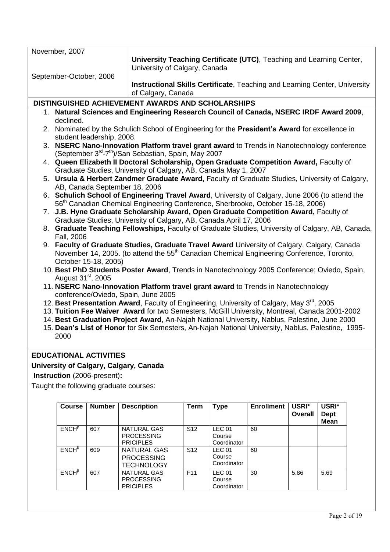| November, 2007                      |                                                                                                                                                                                                       |  |  |  |  |
|-------------------------------------|-------------------------------------------------------------------------------------------------------------------------------------------------------------------------------------------------------|--|--|--|--|
|                                     | University Teaching Certificate (UTC), Teaching and Learning Center,<br>University of Calgary, Canada                                                                                                 |  |  |  |  |
| September-October, 2006             |                                                                                                                                                                                                       |  |  |  |  |
|                                     | Instructional Skills Certificate, Teaching and Learning Center, University<br>of Calgary, Canada                                                                                                      |  |  |  |  |
|                                     | DISTINGUISHED ACHIEVEMENT AWARDS AND SCHOLARSHIPS                                                                                                                                                     |  |  |  |  |
|                                     | 1. Natural Sciences and Engineering Research Council of Canada, NSERC IRDF Award 2009,                                                                                                                |  |  |  |  |
| declined.                           |                                                                                                                                                                                                       |  |  |  |  |
| student leadership, 2008.           | 2. Nominated by the Schulich School of Engineering for the President's Award for excellence in                                                                                                        |  |  |  |  |
| 3.                                  | NSERC Nano-Innovation Platform travel grant award to Trends in Nanotechnology conference                                                                                                              |  |  |  |  |
|                                     | (September 3 <sup>rd</sup> -7 <sup>th</sup> )/San Sebastian, Spain, May 2007                                                                                                                          |  |  |  |  |
|                                     | 4. Queen Elizabeth II Doctoral Scholarship, Open Graduate Competition Award, Faculty of<br>Graduate Studies, University of Calgary, AB, Canada May 1, 2007                                            |  |  |  |  |
|                                     | 5. Ursula & Herbert Zandmer Graduate Award, Faculty of Graduate Studies, University of Calgary,                                                                                                       |  |  |  |  |
| AB, Canada September 18, 2006       |                                                                                                                                                                                                       |  |  |  |  |
|                                     | 6. Schulich School of Engineering Travel Award, University of Calgary, June 2006 (to attend the                                                                                                       |  |  |  |  |
|                                     | 56 <sup>th</sup> Canadian Chemical Engineering Conference, Sherbrooke, October 15-18, 2006)                                                                                                           |  |  |  |  |
|                                     | 7. J.B. Hyne Graduate Scholarship Award, Open Graduate Competition Award, Faculty of<br>Graduate Studies, University of Calgary, AB, Canada April 17, 2006                                            |  |  |  |  |
| Fall, 2006                          | 8. Graduate Teaching Fellowships, Faculty of Graduate Studies, University of Calgary, AB, Canada,                                                                                                     |  |  |  |  |
| October 15-18, 2005)                | 9. Faculty of Graduate Studies, Graduate Travel Award University of Calgary, Calgary, Canada<br>November 14, 2005. (to attend the 55 <sup>th</sup> Canadian Chemical Engineering Conference, Toronto, |  |  |  |  |
| August 31 <sup>st</sup> , 2005      | 10. Best PhD Students Poster Award, Trends in Nanotechnology 2005 Conference; Oviedo, Spain,                                                                                                          |  |  |  |  |
| conference/Oviedo, Spain, June 2005 | 11. NSERC Nano-Innovation Platform travel grant award to Trends in Nanotechnology                                                                                                                     |  |  |  |  |
|                                     | 12. Best Presentation Award, Faculty of Engineering, University of Calgary, May 3 <sup>rd</sup> , 2005                                                                                                |  |  |  |  |
|                                     | 13. Tuition Fee Waiver Award for two Semesters, McGill University, Montreal, Canada 2001-2002                                                                                                         |  |  |  |  |
|                                     | 14. Best Graduation Project Award, An-Najah National University, Nablus, Palestine, June 2000                                                                                                         |  |  |  |  |
|                                     | 15. Dean's List of Honor for Six Semesters, An-Najah National University, Nablus, Palestine, 1995-                                                                                                    |  |  |  |  |
| 2000                                |                                                                                                                                                                                                       |  |  |  |  |
| <b>EDUCATIONAL ACTIVITIES</b>       |                                                                                                                                                                                                       |  |  |  |  |
|                                     |                                                                                                                                                                                                       |  |  |  |  |

## **University of Calgary, Calgary, Canada**

**Instruction** (2006-present)**:** 

Taught the following graduate courses:

| <b>Course</b>     | <b>Number</b> | <b>Description</b>                                    | <b>Term</b>     | <b>Type</b>                            | <b>Enrollment</b> | USRI*<br><b>Overall</b> | USRI*<br><b>Dept</b><br><b>Mean</b> |
|-------------------|---------------|-------------------------------------------------------|-----------------|----------------------------------------|-------------------|-------------------------|-------------------------------------|
| ENCH <sup>p</sup> | 607           | NATURAL GAS<br><b>PROCESSING</b><br><b>PRICIPLES</b>  | S <sub>12</sub> | <b>LEC 01</b><br>Course<br>Coordinator | 60                |                         |                                     |
| $ENCH^{\beta}$    | 609           | NATURAL GAS<br><b>PROCESSING</b><br><b>TECHNOLOGY</b> | S <sub>12</sub> | <b>LEC 01</b><br>Course<br>Coordinator | 60                |                         |                                     |
| ENCH <sup>β</sup> | 607           | NATURAL GAS<br><b>PROCESSING</b><br><b>PRICIPLES</b>  | F <sub>11</sub> | <b>LEC 01</b><br>Course<br>Coordinator | 30                | 5.86                    | 5.69                                |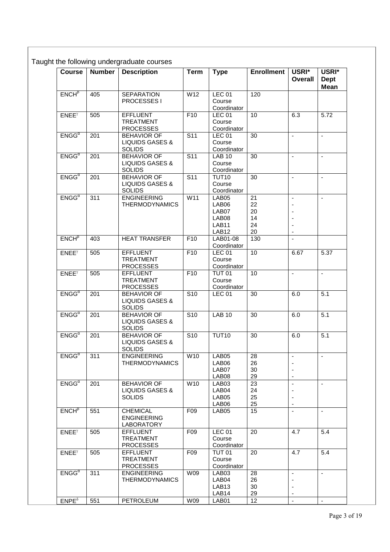| <b>Course</b>     | <b>Number</b> | <b>Description</b>                                                | <b>Term</b>             | <b>Type</b>                                                    | <b>Enrollment</b>                 | USRI*<br><b>Overall</b>                                                                  | USRI*<br><b>Dept</b><br><b>Mean</b> |
|-------------------|---------------|-------------------------------------------------------------------|-------------------------|----------------------------------------------------------------|-----------------------------------|------------------------------------------------------------------------------------------|-------------------------------------|
| ENCH <sup>β</sup> | 405           | <b>SEPARATION</b><br>PROCESSES I                                  | W12                     | <b>LEC 01</b><br>Course                                        | 120                               |                                                                                          |                                     |
|                   |               |                                                                   |                         | Coordinator                                                    |                                   |                                                                                          |                                     |
| $ENEE^{\gamma}$   | 505           | <b>EFFLUENT</b><br><b>TREATMENT</b><br><b>PROCESSES</b>           | F10                     | LEC <sub>01</sub><br>Course<br>Coordinator                     | 10                                | 6.3                                                                                      | 5.72                                |
| $ENGG^{\alpha}$   | 201           | <b>BEHAVIOR OF</b><br><b>LIQUIDS GASES &amp;</b><br><b>SOLIDS</b> | $\overline{\text{S11}}$ | <b>LEC 01</b><br>Course<br>Coordinator                         | 30                                | ä,                                                                                       | ÷,                                  |
| $ENGG^{\alpha}$   | 201           | <b>BEHAVIOR OF</b><br><b>LIQUIDS GASES &amp;</b><br><b>SOLIDS</b> | $\overline{\text{S11}}$ | <b>LAB 10</b><br>Course<br>Coordinator                         | 30                                | $\mathbf{r}$                                                                             | ä,                                  |
| $ENGG^{\alpha}$   | 201           | <b>BEHAVIOR OF</b><br><b>LIQUIDS GASES &amp;</b><br><b>SOLIDS</b> | S <sub>11</sub>         | <b>TUT10</b><br>Course<br>Coordinator                          | 30                                | $\overline{\phantom{a}}$                                                                 | ä,                                  |
| $ENGG^{\alpha}$   | 311           | <b>ENGINEERING</b><br><b>THERMODYNAMICS</b>                       | W11                     | LAB05<br>LAB06<br>LAB07<br>LAB08<br>LAB11<br>LAB <sub>12</sub> | 21<br>22<br>20<br>14<br>24<br>20  | $\blacksquare$<br>$\blacksquare$<br>$\overline{\phantom{a}}$<br>$\overline{\phantom{a}}$ | ä,                                  |
| $ENCH^{\beta}$    | 403           | <b>HEAT TRANSFER</b>                                              | F10                     | LAB01-08<br>Coordinator                                        | 130                               | $\blacksquare$                                                                           |                                     |
| $ENEE^{\gamma}$   | 505           | <b>EFFLUENT</b><br><b>TREATMENT</b><br><b>PROCESSES</b>           | F10                     | <b>LEC 01</b><br>Course<br>Coordinator                         | 10                                | 6.67                                                                                     | 5.37                                |
| $ENEE^{\gamma}$   | 505           | <b>EFFLUENT</b><br><b>TREATMENT</b><br><b>PROCESSES</b>           | F10                     | <b>TUT 01</b><br>Course<br>Coordinator                         | 10                                | ä,                                                                                       | ÷,                                  |
| $ENGG^{\alpha}$   | 201           | <b>BEHAVIOR OF</b><br><b>LIQUIDS GASES &amp;</b><br><b>SOLIDS</b> | $\overline{S10}$        | <b>LEC 01</b>                                                  | 30                                | 6.0                                                                                      | 5.1                                 |
| $ENGG^{\alpha}$   | 201           | <b>BEHAVIOR OF</b><br><b>LIQUIDS GASES &amp;</b><br><b>SOLIDS</b> | S <sub>10</sub>         | <b>LAB 10</b>                                                  | 30                                | 6.0                                                                                      | 5.1                                 |
| $ENGG^{\alpha}$   | 201           | <b>BEHAVIOR OF</b><br><b>LIQUIDS GASES &amp;</b><br><b>SOLIDS</b> | S <sub>10</sub>         | <b>TUT10</b>                                                   | 30                                | 6.0                                                                                      | 5.1                                 |
| $ENGG^{\alpha}$   | 311           | <b>ENGINEERING</b><br><b>THERMODYNAMICS</b>                       | W10                     | LAB05<br>LAB06<br>LAB07<br>LAB08                               | 28<br>26<br>30<br>29              | $\blacksquare$<br>$\overline{\phantom{a}}$<br>$\overline{\phantom{a}}$                   | $\blacksquare$                      |
| $ENGG^{\alpha}$   | 201           | <b>BEHAVIOR OF</b><br><b>LIQUIDS GASES &amp;</b><br><b>SOLIDS</b> | W10                     | LAB03<br>LAB04<br>LAB05<br>LAB06                               | $\overline{23}$<br>24<br>25<br>25 | $\overline{\phantom{a}}$<br>$\overline{\phantom{a}}$                                     | $\blacksquare$                      |
| $ENCH^{\beta}$    | 551           | <b>CHEMICAL</b><br><b>ENGINEERING</b><br>LABORATORY               | F <sub>09</sub>         | LAB05                                                          | 15                                | $\blacksquare$                                                                           | $\blacksquare$                      |
| $ENEE^{\gamma}$   | 505           | <b>EFFLUENT</b><br><b>TREATMENT</b><br><b>PROCESSES</b>           | F <sub>09</sub>         | <b>LEC 01</b><br>Course<br>Coordinator                         | 20                                | 4.7                                                                                      | 5.4                                 |
| $ENEE^{\gamma}$   | 505           | <b>EFFLUENT</b><br><b>TREATMENT</b><br><b>PROCESSES</b>           | F09                     | <b>TUT 01</b><br>Course<br>Coordinator                         | 20                                | 4.7                                                                                      | 5.4                                 |
| $ENGG^{\alpha}$   | 311           | <b>ENGINEERING</b><br><b>THERMODYNAMICS</b>                       | W09                     | LAB03<br>LAB04<br>LAB <sub>13</sub><br>LAB14                   | 28<br>26<br>30<br>29              | $\blacksquare$<br>$\overline{\phantom{a}}$<br>$\blacksquare$<br>$\overline{\phantom{a}}$ | $\blacksquare$                      |
| $ENPE^{\delta}$   | 551           | PETROLEUM                                                         | W09                     | LAB01                                                          | 12                                | $\omega$                                                                                 | $\blacksquare$                      |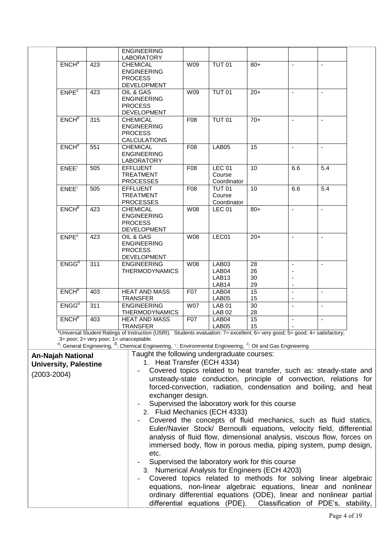|                 |                              |                  | <b>ENGINEERING</b><br>LABORATORY                                                                                                                                        |                                                                                                                                                |                                              |                                                                                                                                         |                |                |  |
|-----------------|------------------------------|------------------|-------------------------------------------------------------------------------------------------------------------------------------------------------------------------|------------------------------------------------------------------------------------------------------------------------------------------------|----------------------------------------------|-----------------------------------------------------------------------------------------------------------------------------------------|----------------|----------------|--|
|                 | $ENCH\beta$                  | 423              | <b>CHEMICAL</b><br><b>ENGINEERING</b>                                                                                                                                   | W09                                                                                                                                            | <b>TUT 01</b>                                | $80+$                                                                                                                                   | $\blacksquare$ | $\blacksquare$ |  |
|                 |                              |                  | <b>PROCESS</b><br>DEVELOPMENT                                                                                                                                           |                                                                                                                                                |                                              |                                                                                                                                         |                |                |  |
|                 | $ENPE^{\delta}$              | 423              | OIL & GAS<br><b>ENGINEERING</b><br><b>PROCESS</b><br>DEVELOPMENT                                                                                                        | W09                                                                                                                                            | <b>TUT 01</b>                                | $20+$                                                                                                                                   | $\blacksquare$ | $\blacksquare$ |  |
|                 | ENCH <sup>B</sup>            | $\overline{315}$ | <b>CHEMICAL</b><br><b>ENGINEERING</b><br><b>PROCESS</b><br><b>CALCULATIONS</b>                                                                                          | F08                                                                                                                                            | <b>TUT 01</b>                                | $70+$                                                                                                                                   | $\blacksquare$ | $\blacksquare$ |  |
|                 | ENCH <sup>p</sup>            | 551              | <b>CHEMICAL</b><br><b>ENGINEERING</b><br>LABORATORY                                                                                                                     | F08                                                                                                                                            | LAB05                                        | 15                                                                                                                                      | $\omega$       | $\blacksquare$ |  |
|                 | $ENEE^{\gamma}$              | 505              | <b>EFFLUENT</b><br><b>TREATMENT</b><br><b>PROCESSES</b>                                                                                                                 | F08                                                                                                                                            | <b>LEC 01</b><br>Course<br>Coordinator       | 10                                                                                                                                      | 6.6            | 5.4            |  |
|                 | $ENEE^{\gamma}$              | 505              | <b>EFFLUENT</b><br><b>TREATMENT</b><br><b>PROCESSES</b>                                                                                                                 | F08                                                                                                                                            | <b>TUT 01</b><br>Course<br>Coordinator       | 10                                                                                                                                      | 6.6            | 5.4            |  |
|                 | ENCH <sup>β</sup>            | 423              | <b>CHEMICAL</b><br><b>ENGINEERING</b><br><b>PROCESS</b><br>DEVELOPMENT                                                                                                  | <b>W08</b>                                                                                                                                     | <b>LEC 01</b>                                | $80+$                                                                                                                                   | $\mathbf{r}$   | L.             |  |
|                 | $ENPE^{\delta}$              | 423              | OIL & GAS<br><b>ENGINEERING</b><br><b>PROCESS</b><br>DEVELOPMENT                                                                                                        | W08                                                                                                                                            | LEC01                                        | $20+$                                                                                                                                   | $\sim$         | $\mathbf{r}$   |  |
|                 | $ENGG^{\alpha}$              | 311              | <b>ENGINEERING</b><br><b>THERMODYNAMICS</b>                                                                                                                             | <b>W08</b>                                                                                                                                     | LAB03<br>LAB04<br>LAB <sub>13</sub><br>LAB14 | 28<br>26<br>30<br>29                                                                                                                    | $\overline{a}$ | $\blacksquare$ |  |
|                 | $ENCH\beta$                  | 403              | <b>HEAT AND MASS</b><br><b>TRANSFER</b>                                                                                                                                 | F07                                                                                                                                            | LAB04<br>LAB05                               | $\overline{15}$<br>15                                                                                                                   |                | $\blacksquare$ |  |
|                 | $ENGG^{\alpha}$              | 311              | <b>ENGINEERING</b>                                                                                                                                                      | <b>W07</b>                                                                                                                                     | <b>LAB 01</b>                                | 30                                                                                                                                      | $\mathbf{r}$   | $\blacksquare$ |  |
|                 | $ENCH^{\beta}$               | 403              | <b>THERMODYNAMICS</b><br><b>HEAT AND MASS</b><br><b>TRANSFER</b>                                                                                                        | F07                                                                                                                                            | <b>LAB 02</b><br>LAB04<br>LAB05              | 28<br>15<br>15                                                                                                                          | $\sim$         | $\blacksquare$ |  |
|                 |                              |                  | *Universal Student Ratings of Instruction (USRI). Students evaluation: 7= excellent; 6= very good; 5= good; 4= satisfactory;<br>3= poor; 2= very poor; 1= unacceptable. |                                                                                                                                                |                                              |                                                                                                                                         |                |                |  |
|                 |                              |                  | $\alpha$ : General Engineering, $\beta$ : Chemical Engineering, <sup>7</sup> : Environmental Engineering, $\delta$ : Oil and Gas Engineering                            |                                                                                                                                                |                                              |                                                                                                                                         |                |                |  |
|                 | <b>An-Najah National</b>     |                  | Taught the following undergraduate courses:                                                                                                                             |                                                                                                                                                |                                              |                                                                                                                                         |                |                |  |
|                 | <b>University, Palestine</b> |                  | 1. Heat Transfer (ECH 4334)                                                                                                                                             |                                                                                                                                                |                                              |                                                                                                                                         |                |                |  |
| $(2003 - 2004)$ |                              |                  |                                                                                                                                                                         |                                                                                                                                                |                                              | Covered topics related to heat transfer, such as: steady-state and<br>unsteady-state conduction, principle of convection, relations for |                |                |  |
|                 |                              |                  |                                                                                                                                                                         |                                                                                                                                                |                                              | forced-convection, radiation, condensation and boiling, and heat                                                                        |                |                |  |
|                 |                              |                  | exchanger design.                                                                                                                                                       |                                                                                                                                                |                                              |                                                                                                                                         |                |                |  |
|                 |                              |                  |                                                                                                                                                                         |                                                                                                                                                |                                              | Supervised the laboratory work for this course                                                                                          |                |                |  |
|                 |                              |                  | 2. Fluid Mechanics (ECH 4333)                                                                                                                                           |                                                                                                                                                |                                              |                                                                                                                                         |                |                |  |
|                 |                              |                  |                                                                                                                                                                         |                                                                                                                                                |                                              | Covered the concepts of fluid mechanics, such as fluid statics,                                                                         |                |                |  |
|                 |                              |                  |                                                                                                                                                                         | Euler/Navier Stock/ Bernoulli equations, velocity field, differential<br>analysis of fluid flow, dimensional analysis, viscous flow, forces on |                                              |                                                                                                                                         |                |                |  |
|                 |                              |                  |                                                                                                                                                                         |                                                                                                                                                |                                              | immersed body, flow in porous media, piping system, pump design,                                                                        |                |                |  |
|                 |                              |                  | etc.                                                                                                                                                                    |                                                                                                                                                |                                              |                                                                                                                                         |                |                |  |
|                 |                              |                  |                                                                                                                                                                         |                                                                                                                                                |                                              | Supervised the laboratory work for this course                                                                                          |                |                |  |
|                 |                              |                  |                                                                                                                                                                         | 3. Numerical Analysis for Engineers (ECH 4203)<br>Covered topics related to methods for solving linear algebraic                               |                                              |                                                                                                                                         |                |                |  |
|                 |                              |                  | equations, non-linear algebraic equations, linear and nonlinear                                                                                                         |                                                                                                                                                |                                              |                                                                                                                                         |                |                |  |
|                 |                              |                  |                                                                                                                                                                         |                                                                                                                                                |                                              | ordinary differential equations (ODE), linear and nonlinear partial                                                                     |                |                |  |
|                 |                              |                  |                                                                                                                                                                         |                                                                                                                                                |                                              | differential equations (PDE). Classification of PDE's, stability,                                                                       |                |                |  |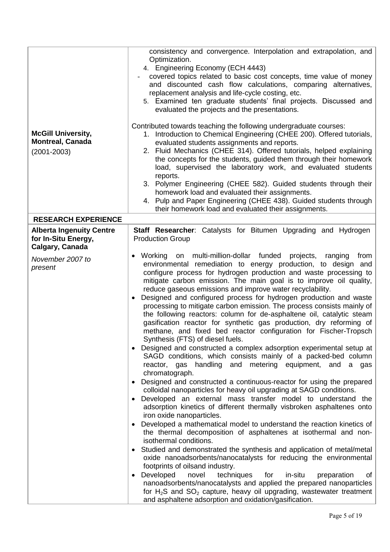| <b>McGill University,</b><br><b>Montreal, Canada</b><br>$(2001 - 2003)$<br><b>RESEARCH EXPERIENCE</b> | consistency and convergence. Interpolation and extrapolation, and<br>Optimization.<br>4. Engineering Economy (ECH 4443)<br>covered topics related to basic cost concepts, time value of money<br>and discounted cash flow calculations, comparing alternatives,<br>replacement analysis and life-cycle costing, etc.<br>5. Examined ten graduate students' final projects. Discussed and<br>evaluated the projects and the presentations.<br>Contributed towards teaching the following undergraduate courses:<br>1. Introduction to Chemical Engineering (CHEE 200). Offered tutorials,<br>evaluated students assignments and reports.<br>2. Fluid Mechanics (CHEE 314). Offered tutorials, helped explaining<br>the concepts for the students, guided them through their homework<br>load, supervised the laboratory work, and evaluated students<br>reports.<br>3. Polymer Engineering (CHEE 582). Guided students through their<br>homework load and evaluated their assignments.<br>4. Pulp and Paper Engineering (CHEE 438). Guided students through<br>their homework load and evaluated their assignments.                                                                                                                                                                                                                                                                                                                                                                                                                                                                                                                                                                                                                                                                                                                                                                                                                                                                                                  |
|-------------------------------------------------------------------------------------------------------|---------------------------------------------------------------------------------------------------------------------------------------------------------------------------------------------------------------------------------------------------------------------------------------------------------------------------------------------------------------------------------------------------------------------------------------------------------------------------------------------------------------------------------------------------------------------------------------------------------------------------------------------------------------------------------------------------------------------------------------------------------------------------------------------------------------------------------------------------------------------------------------------------------------------------------------------------------------------------------------------------------------------------------------------------------------------------------------------------------------------------------------------------------------------------------------------------------------------------------------------------------------------------------------------------------------------------------------------------------------------------------------------------------------------------------------------------------------------------------------------------------------------------------------------------------------------------------------------------------------------------------------------------------------------------------------------------------------------------------------------------------------------------------------------------------------------------------------------------------------------------------------------------------------------------------------------------------------------------------------------------------------------|
| <b>Alberta Ingenuity Centre</b>                                                                       | Staff Researcher: Catalysts for Bitumen Upgrading and Hydrogen                                                                                                                                                                                                                                                                                                                                                                                                                                                                                                                                                                                                                                                                                                                                                                                                                                                                                                                                                                                                                                                                                                                                                                                                                                                                                                                                                                                                                                                                                                                                                                                                                                                                                                                                                                                                                                                                                                                                                      |
| for In-Situ Energy,<br>Calgary, Canada                                                                | <b>Production Group</b>                                                                                                                                                                                                                                                                                                                                                                                                                                                                                                                                                                                                                                                                                                                                                                                                                                                                                                                                                                                                                                                                                                                                                                                                                                                                                                                                                                                                                                                                                                                                                                                                                                                                                                                                                                                                                                                                                                                                                                                             |
| November 2007 to<br>present                                                                           | Working on multi-million-dollar funded<br>projects,<br>ranging<br>from<br>$\bullet$<br>environmental remediation to energy production, to design and<br>configure process for hydrogen production and waste processing to<br>mitigate carbon emission. The main goal is to improve oil quality,<br>reduce gaseous emissions and improve water recyclability.<br>Designed and configured process for hydrogen production and waste<br>$\bullet$<br>processing to mitigate carbon emission. The process consists mainly of<br>the following reactors: column for de-asphaltene oil, catalytic steam<br>gasification reactor for synthetic gas production, dry reforming of<br>methane, and fixed bed reactor configuration for Fischer-Tropsch<br>Synthesis (FTS) of diesel fuels.<br>Designed and constructed a complex adsorption experimental setup at<br>SAGD conditions, which consists mainly of a packed-bed column<br>handling<br>and<br>metering equipment, and<br>reactor, gas<br>a<br>gas<br>chromatograph.<br>Designed and constructed a continuous-reactor for using the prepared<br>colloidal nanoparticles for heavy oil upgrading at SAGD conditions.<br>Developed an external mass transfer model to understand<br>the<br>adsorption kinetics of different thermally visbroken asphaltenes onto<br>iron oxide nanoparticles.<br>Developed a mathematical model to understand the reaction kinetics of<br>$\bullet$<br>the thermal decomposition of asphaltenes at isothermal and non-<br>isothermal conditions.<br>Studied and demonstrated the synthesis and application of metal/metal<br>oxide nanoadsorbents/nanocatalysts for reducing the environmental<br>footprints of oilsand industry.<br>Developed<br>novel<br>techniques<br>for<br>in-situ<br>of<br>preparation<br>$\bullet$<br>nanoadsorbents/nanocatalysts and applied the prepared nanoparticles<br>for $H_2S$ and $SO_2$ capture, heavy oil upgrading, wastewater treatment<br>and asphaltene adsorption and oxidation/gasification. |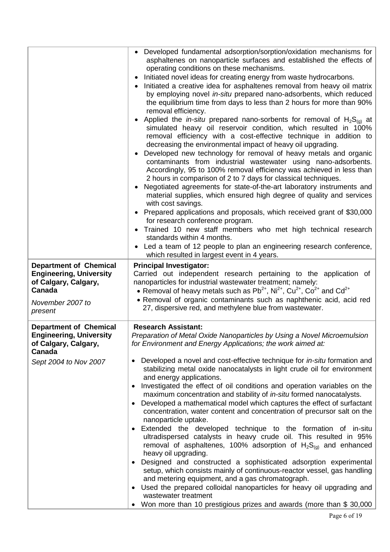|                                                                                                   | Developed fundamental adsorption/sorption/oxidation mechanisms for<br>$\bullet$<br>asphaltenes on nanoparticle surfaces and established the effects of<br>operating conditions on these mechanisms.<br>Initiated novel ideas for creating energy from waste hydrocarbons.<br>$\bullet$<br>Initiated a creative idea for asphaltenes removal from heavy oil matrix<br>by employing novel in-situ prepared nano-adsorbents, which reduced<br>the equilibrium time from days to less than 2 hours for more than 90%<br>removal efficiency.<br>Applied the <i>in-situ</i> prepared nano-sorbents for removal of $H_2S_{(q)}$ at<br>$\bullet$<br>simulated heavy oil reservoir condition, which resulted in 100%<br>removal efficiency with a cost-effective technique in addition to<br>decreasing the environmental impact of heavy oil upgrading.<br>Developed new technology for removal of heavy metals and organic<br>$\bullet$<br>contaminants from industrial wastewater using nano-adsorbents.<br>Accordingly, 95 to 100% removal efficiency was achieved in less than<br>2 hours in comparison of 2 to 7 days for classical techniques.<br>Negotiated agreements for state-of-the-art laboratory instruments and<br>$\bullet$<br>material supplies, which ensured high degree of quality and services<br>with cost savings.<br>• Prepared applications and proposals, which received grant of \$30,000<br>for research conference program.<br>Trained 10 new staff members who met high technical research<br>standards within 4 months.<br>Led a team of 12 people to plan an engineering research conference,<br>which resulted in largest event in 4 years. |
|---------------------------------------------------------------------------------------------------|---------------------------------------------------------------------------------------------------------------------------------------------------------------------------------------------------------------------------------------------------------------------------------------------------------------------------------------------------------------------------------------------------------------------------------------------------------------------------------------------------------------------------------------------------------------------------------------------------------------------------------------------------------------------------------------------------------------------------------------------------------------------------------------------------------------------------------------------------------------------------------------------------------------------------------------------------------------------------------------------------------------------------------------------------------------------------------------------------------------------------------------------------------------------------------------------------------------------------------------------------------------------------------------------------------------------------------------------------------------------------------------------------------------------------------------------------------------------------------------------------------------------------------------------------------------------------------------------------------------------------------------------------------------------|
| <b>Department of Chemical</b><br><b>Engineering, University</b>                                   | <b>Principal Investigator:</b><br>Carried out independent research pertaining to the application of                                                                                                                                                                                                                                                                                                                                                                                                                                                                                                                                                                                                                                                                                                                                                                                                                                                                                                                                                                                                                                                                                                                                                                                                                                                                                                                                                                                                                                                                                                                                                                 |
| of Calgary, Calgary,<br>Canada                                                                    | nanoparticles for industrial wastewater treatment; namely:<br>• Removal of heavy metals such as $Pb^{2+}$ , Ni <sup>2+</sup> , Cu <sup>2+</sup> , Co <sup>2+</sup> and Cd <sup>2+</sup>                                                                                                                                                                                                                                                                                                                                                                                                                                                                                                                                                                                                                                                                                                                                                                                                                                                                                                                                                                                                                                                                                                                                                                                                                                                                                                                                                                                                                                                                             |
| November 2007 to<br>present                                                                       | • Removal of organic contaminants such as naphthenic acid, acid red<br>27, dispersive red, and methylene blue from wastewater.                                                                                                                                                                                                                                                                                                                                                                                                                                                                                                                                                                                                                                                                                                                                                                                                                                                                                                                                                                                                                                                                                                                                                                                                                                                                                                                                                                                                                                                                                                                                      |
| <b>Department of Chemical</b><br><b>Engineering, University</b><br>of Calgary, Calgary,<br>Canada | <b>Research Assistant:</b><br>Preparation of Metal Oxide Nanoparticles by Using a Novel Microemulsion<br>for Environment and Energy Applications; the work aimed at:                                                                                                                                                                                                                                                                                                                                                                                                                                                                                                                                                                                                                                                                                                                                                                                                                                                                                                                                                                                                                                                                                                                                                                                                                                                                                                                                                                                                                                                                                                |
| Sept 2004 to Nov 2007                                                                             | Developed a novel and cost-effective technique for <i>in-situ</i> formation and<br>$\bullet$<br>stabilizing metal oxide nanocatalysts in light crude oil for environment<br>and energy applications.                                                                                                                                                                                                                                                                                                                                                                                                                                                                                                                                                                                                                                                                                                                                                                                                                                                                                                                                                                                                                                                                                                                                                                                                                                                                                                                                                                                                                                                                |
|                                                                                                   | Investigated the effect of oil conditions and operation variables on the<br>$\bullet$<br>maximum concentration and stability of <i>in-situ</i> formed nanocatalysts.                                                                                                                                                                                                                                                                                                                                                                                                                                                                                                                                                                                                                                                                                                                                                                                                                                                                                                                                                                                                                                                                                                                                                                                                                                                                                                                                                                                                                                                                                                |
|                                                                                                   | Developed a mathematical model which captures the effect of surfactant<br>concentration, water content and concentration of precursor salt on the<br>nanoparticle uptake.                                                                                                                                                                                                                                                                                                                                                                                                                                                                                                                                                                                                                                                                                                                                                                                                                                                                                                                                                                                                                                                                                                                                                                                                                                                                                                                                                                                                                                                                                           |
|                                                                                                   | Extended the developed technique to the formation of in-situ<br>ultradispersed catalysts in heavy crude oil. This resulted in 95%<br>removal of asphaltenes, 100% adsorption of $H_2S_{(q)}$ and enhanced<br>heavy oil upgrading.                                                                                                                                                                                                                                                                                                                                                                                                                                                                                                                                                                                                                                                                                                                                                                                                                                                                                                                                                                                                                                                                                                                                                                                                                                                                                                                                                                                                                                   |
|                                                                                                   | Designed and constructed a sophisticated adsorption experimental<br>setup, which consists mainly of continuous-reactor vessel, gas handling<br>and metering equipment, and a gas chromatograph.                                                                                                                                                                                                                                                                                                                                                                                                                                                                                                                                                                                                                                                                                                                                                                                                                                                                                                                                                                                                                                                                                                                                                                                                                                                                                                                                                                                                                                                                     |
|                                                                                                   | Used the prepared colloidal nanoparticles for heavy oil upgrading and<br>$\bullet$<br>wastewater treatment                                                                                                                                                                                                                                                                                                                                                                                                                                                                                                                                                                                                                                                                                                                                                                                                                                                                                                                                                                                                                                                                                                                                                                                                                                                                                                                                                                                                                                                                                                                                                          |
|                                                                                                   | Won more than 10 prestigious prizes and awards (more than \$30,000                                                                                                                                                                                                                                                                                                                                                                                                                                                                                                                                                                                                                                                                                                                                                                                                                                                                                                                                                                                                                                                                                                                                                                                                                                                                                                                                                                                                                                                                                                                                                                                                  |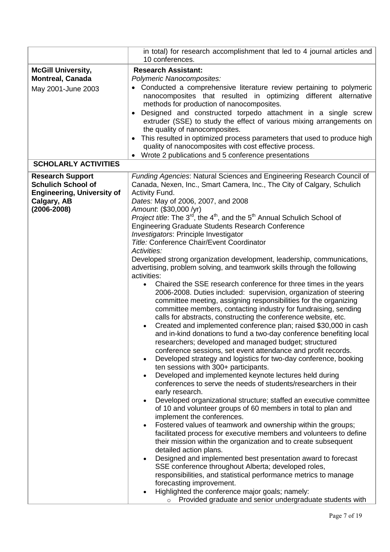|                                                                                                                             | in total) for research accomplishment that led to 4 journal articles and<br>10 conferences.                                                                                                                                                                                                                                                                                                                                                                                                                                                                                                                                                                                                                                                                                                                                                                                                                                                                                                                                                                                                                                                                                                                                                                                                                                                                                                                                                                                                                                                                                                                                                                                                                                                                                                                                                                                                                                                                                                                                                                                                                                                                                                                                                                                                                                                             |
|-----------------------------------------------------------------------------------------------------------------------------|---------------------------------------------------------------------------------------------------------------------------------------------------------------------------------------------------------------------------------------------------------------------------------------------------------------------------------------------------------------------------------------------------------------------------------------------------------------------------------------------------------------------------------------------------------------------------------------------------------------------------------------------------------------------------------------------------------------------------------------------------------------------------------------------------------------------------------------------------------------------------------------------------------------------------------------------------------------------------------------------------------------------------------------------------------------------------------------------------------------------------------------------------------------------------------------------------------------------------------------------------------------------------------------------------------------------------------------------------------------------------------------------------------------------------------------------------------------------------------------------------------------------------------------------------------------------------------------------------------------------------------------------------------------------------------------------------------------------------------------------------------------------------------------------------------------------------------------------------------------------------------------------------------------------------------------------------------------------------------------------------------------------------------------------------------------------------------------------------------------------------------------------------------------------------------------------------------------------------------------------------------------------------------------------------------------------------------------------------------|
| <b>McGill University,</b><br><b>Montreal, Canada</b><br>May 2001-June 2003                                                  | <b>Research Assistant:</b><br>Polymeric Nanocomposites:<br>Conducted a comprehensive literature review pertaining to polymeric<br>nanocomposites that resulted in optimizing different alternative<br>methods for production of nanocomposites.<br>Designed and constructed torpedo attachment in a single screw<br>$\bullet$<br>extruder (SSE) to study the effect of various mixing arrangements on<br>the quality of nanocomposites.<br>This resulted in optimized process parameters that used to produce high<br>$\bullet$<br>quality of nanocomposites with cost effective process.<br>Wrote 2 publications and 5 conference presentations                                                                                                                                                                                                                                                                                                                                                                                                                                                                                                                                                                                                                                                                                                                                                                                                                                                                                                                                                                                                                                                                                                                                                                                                                                                                                                                                                                                                                                                                                                                                                                                                                                                                                                        |
| <b>SCHOLARLY ACTIVITIES</b>                                                                                                 |                                                                                                                                                                                                                                                                                                                                                                                                                                                                                                                                                                                                                                                                                                                                                                                                                                                                                                                                                                                                                                                                                                                                                                                                                                                                                                                                                                                                                                                                                                                                                                                                                                                                                                                                                                                                                                                                                                                                                                                                                                                                                                                                                                                                                                                                                                                                                         |
| <b>Research Support</b><br><b>Schulich School of</b><br><b>Engineering, University of</b><br>Calgary, AB<br>$(2006 - 2008)$ | Funding Agencies: Natural Sciences and Engineering Research Council of<br>Canada, Nexen, Inc., Smart Camera, Inc., The City of Calgary, Schulich<br>Activity Fund.<br>Dates: May of 2006, 2007, and 2008<br>Amount. (\$30,000 /yr)<br><i>Project title</i> : The $3^{rd}$ , the $4^{th}$ , and the $5^{th}$ Annual Schulich School of<br><b>Engineering Graduate Students Research Conference</b><br>Investigators: Principle Investigator<br><b>Title: Conference Chair/Event Coordinator</b><br>Activities:<br>Developed strong organization development, leadership, communications,<br>advertising, problem solving, and teamwork skills through the following<br>activities:<br>Chaired the SSE research conference for three times in the years<br>$\bullet$<br>2006-2008. Duties included: supervision, organization of steering<br>committee meeting, assigning responsibilities for the organizing<br>committee members, contacting industry for fundraising, sending<br>calls for abstracts, constructing the conference website, etc.<br>Created and implemented conference plan; raised \$30,000 in cash<br>and in-kind donations to fund a two-day conference benefiting local<br>researchers; developed and managed budget; structured<br>conference sessions, set event attendance and profit records.<br>Developed strategy and logistics for two-day conference, booking<br>$\bullet$<br>ten sessions with 300+ participants.<br>Developed and implemented keynote lectures held during<br>conferences to serve the needs of students/researchers in their<br>early research.<br>Developed organizational structure; staffed an executive committee<br>of 10 and volunteer groups of 60 members in total to plan and<br>implement the conferences.<br>Fostered values of teamwork and ownership within the groups;<br>$\bullet$<br>facilitated process for executive members and volunteers to define<br>their mission within the organization and to create subsequent<br>detailed action plans.<br>Designed and implemented best presentation award to forecast<br>SSE conference throughout Alberta; developed roles,<br>responsibilities, and statistical performance metrics to manage<br>forecasting improvement.<br>Highlighted the conference major goals; namely:<br>Provided graduate and senior undergraduate students with |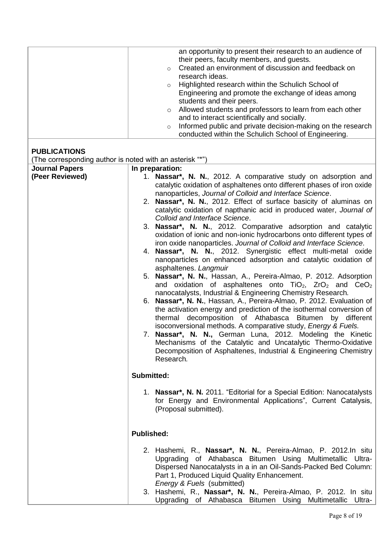|                                                          | an opportunity to present their research to an audience of              |
|----------------------------------------------------------|-------------------------------------------------------------------------|
|                                                          | their peers, faculty members, and guests.                               |
|                                                          | Created an environment of discussion and feedback on<br>$\circ$         |
|                                                          | research ideas.                                                         |
|                                                          | Highlighted research within the Schulich School of<br>$\circ$           |
|                                                          | Engineering and promote the exchange of ideas among                     |
|                                                          | students and their peers.                                               |
|                                                          | Allowed students and professors to learn from each other<br>$\circ$     |
|                                                          | and to interact scientifically and socially.                            |
|                                                          | Informed public and private decision-making on the research<br>$\circ$  |
|                                                          | conducted within the Schulich School of Engineering.                    |
|                                                          |                                                                         |
| <b>PUBLICATIONS</b>                                      |                                                                         |
| (The corresponding author is noted with an asterisk "*") |                                                                         |
| <b>Journal Papers</b>                                    | In preparation:                                                         |
|                                                          |                                                                         |
| (Peer Reviewed)                                          | 1. Nassar*, N. N., 2012. A comparative study on adsorption and          |
|                                                          | catalytic oxidation of asphaltenes onto different phases of iron oxide  |
|                                                          | nanoparticles, Journal of Colloid and Interface Science.                |
|                                                          | 2. Nassar*, N. N., 2012. Effect of surface basicity of aluminas on      |
|                                                          | catalytic oxidation of napthanic acid in produced water, Journal of     |
|                                                          | Colloid and Interface Science.                                          |
|                                                          | 3. Nassar*, N. N., 2012. Comparative adsorption and catalytic           |
|                                                          | oxidation of ionic and non-ionic hydrocarbons onto different types of   |
|                                                          | iron oxide nanoparticles. Journal of Colloid and Interface Science.     |
|                                                          | 4. Nassar*, N. N., 2012. Synergistic effect multi-metal oxide           |
|                                                          | nanoparticles on enhanced adsorption and catalytic oxidation of         |
|                                                          | asphaltenes. Langmuir                                                   |
|                                                          | 5. Nassar*, N. N., Hassan, A., Pereira-Almao, P. 2012. Adsorption       |
|                                                          | and oxidation of asphaltenes onto $TiO2$ , $ZrO2$ and $CeO2$            |
|                                                          | nanocatalysts, Industrial & Engineering Chemistry Research.             |
|                                                          | 6. Nassar*, N. N., Hassan, A., Pereira-Almao, P. 2012. Evaluation of    |
|                                                          | the activation energy and prediction of the isothermal conversion of    |
|                                                          | thermal decomposition of Athabasca Bitumen by different                 |
|                                                          | isoconversional methods. A comparative study, Energy & Fuels.           |
|                                                          | 7. Nassar*, N. N., German Luna, 2012. Modeling the Kinetic              |
|                                                          | Mechanisms of the Catalytic and Uncatalytic Thermo-Oxidative            |
|                                                          | Decomposition of Asphaltenes, Industrial & Engineering Chemistry        |
|                                                          | Research.                                                               |
|                                                          |                                                                         |
|                                                          | Submitted:                                                              |
|                                                          |                                                                         |
|                                                          | 1. Nassar*, N. N. 2011. "Editorial for a Special Edition: Nanocatalysts |
|                                                          | for Energy and Environmental Applications", Current Catalysis,          |
|                                                          | (Proposal submitted).                                                   |
|                                                          |                                                                         |
|                                                          |                                                                         |
|                                                          |                                                                         |
|                                                          | <b>Published:</b>                                                       |
|                                                          |                                                                         |
|                                                          | 2. Hashemi, R., Nassar*, N. N., Pereira-Almao, P. 2012. In situ         |
|                                                          | Upgrading of Athabasca Bitumen Using Multimetallic Ultra-               |
|                                                          | Dispersed Nanocatalysts in a in an Oil-Sands-Packed Bed Column:         |
|                                                          | Part 1, Produced Liquid Quality Enhancement.                            |
|                                                          | Energy & Fuels (submitted)                                              |
|                                                          | 3. Hashemi, R., Nassar*, N. N., Pereira-Almao, P. 2012. In situ         |
|                                                          | Upgrading of Athabasca<br>Bitumen Using Multimetallic<br>Ultra-         |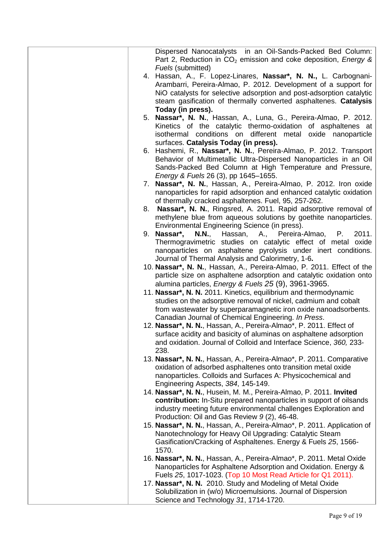| Dispersed Nanocatalysts in an Oil-Sands-Packed Bed Column:<br>Part 2, Reduction in CO <sub>2</sub> emission and coke deposition, <i>Energy &amp;</i><br>Fuels (submitted) |
|---------------------------------------------------------------------------------------------------------------------------------------------------------------------------|
| 4. Hassan, A., F. Lopez-Linares, Nassar*, N. N., L. Carbognani-                                                                                                           |
| Arambarri, Pereira-Almao, P. 2012. Development of a support for                                                                                                           |
| NiO catalysts for selective adsorption and post-adsorption catalytic                                                                                                      |
| steam gasification of thermally converted asphaltenes. Catalysis                                                                                                          |
| Today (in press).                                                                                                                                                         |
| 5. Nassar*, N. N., Hassan, A., Luna, G., Pereira-Almao, P. 2012.                                                                                                          |
| Kinetics of the catalytic thermo-oxidation of asphaltenes at                                                                                                              |
| isothermal conditions on different metal oxide nanoparticle                                                                                                               |
| surfaces. Catalysis Today (in press).                                                                                                                                     |
| 6. Hashemi, R., Nassar*, N. N., Pereira-Almao, P. 2012. Transport                                                                                                         |
| Behavior of Multimetallic Ultra-Dispersed Nanoparticles in an Oil                                                                                                         |
| Sands-Packed Bed Column at High Temperature and Pressure,                                                                                                                 |
| Energy & Fuels 26 (3), pp 1645-1655.                                                                                                                                      |
| 7. Nassar*, N. N., Hassan, A., Pereira-Almao, P. 2012. Iron oxide                                                                                                         |
| nanoparticles for rapid adsorption and enhanced catalytic oxidation                                                                                                       |
| of thermally cracked asphaltenes. Fuel, 95, 257-262.                                                                                                                      |
| 8. Nassar*, N. N., Ringsred, A. 2011. Rapid adsorptive removal of                                                                                                         |
| methylene blue from aqueous solutions by goethite nanoparticles.                                                                                                          |
| Environmental Engineering Science (in press).                                                                                                                             |
| 2011.<br>9. Nassar*,<br><b>N.N.,</b><br>Hassan, A.,<br>Pereira-Almao,<br>Р.                                                                                               |
| Thermogravimetric studies on catalytic effect of metal oxide                                                                                                              |
| nanoparticles on asphaltene pyrolysis under inert conditions.                                                                                                             |
| Journal of Thermal Analysis and Calorimetry, 1-6.                                                                                                                         |
| 10. Nassar*, N. N., Hassan, A., Pereira-Almao, P. 2011. Effect of the                                                                                                     |
| particle size on asphaltene adsorption and catalytic oxidation onto                                                                                                       |
| alumina particles, Energy & Fuels 25 (9), 3961-3965.                                                                                                                      |
| 11. Nassar*, N. N. 2011. Kinetics, equilibrium and thermodynamic                                                                                                          |
| studies on the adsorptive removal of nickel, cadmium and cobalt                                                                                                           |
| from wastewater by superparamagnetic iron oxide nanoadsorbents.                                                                                                           |
| Canadian Journal of Chemical Engineering. In Press.                                                                                                                       |
| 12. Nassar*, N. N., Hassan, A., Pereira-Almao*, P. 2011. Effect of                                                                                                        |
| surface acidity and basicity of aluminas on asphaltene adsorption                                                                                                         |
| and oxidation. Journal of Colloid and Interface Science, 360, 233-<br>238.                                                                                                |
| 13. Nassar*, N. N., Hassan, A., Pereira-Almao*, P. 2011. Comparative                                                                                                      |
| oxidation of adsorbed asphaltenes onto transition metal oxide                                                                                                             |
| nanoparticles. Colloids and Surfaces A: Physicochemical and                                                                                                               |
| Engineering Aspects, 384, 145-149.                                                                                                                                        |
| 14. Nassar*, N. N., Husein, M. M., Pereira-Almao, P. 2011. Invited                                                                                                        |
| contribution: In-Situ prepared nanoparticles in support of oilsands                                                                                                       |
| industry meeting future environmental challenges Exploration and                                                                                                          |
| Production: Oil and Gas Review 9 (2), 46-48.                                                                                                                              |
| 15. Nassar*, N. N., Hassan, A., Pereira-Almao*, P. 2011. Application of                                                                                                   |
| Nanotechnology for Heavy Oil Upgrading: Catalytic Steam                                                                                                                   |
| Gasification/Cracking of Asphaltenes. Energy & Fuels 25, 1566-                                                                                                            |
| 1570.                                                                                                                                                                     |
| 16. Nassar*, N. N., Hassan, A., Pereira-Almao*, P. 2011. Metal Oxide                                                                                                      |
| Nanoparticles for Asphaltene Adsorption and Oxidation. Energy &                                                                                                           |
| Fuels 25, 1017-1023. (Top 10 Most Read Article for Q1 2011).                                                                                                              |
| 17. Nassar*, N. N. 2010. Study and Modeling of Metal Oxide                                                                                                                |
| Solubilization in (w/o) Microemulsions. Journal of Dispersion                                                                                                             |
| Science and Technology 31, 1714-1720.                                                                                                                                     |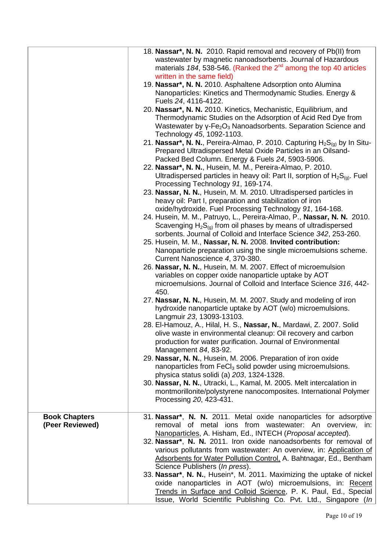|                      | 18. Nassar*, N. N. 2010. Rapid removal and recovery of Pb(II) from                                                                       |
|----------------------|------------------------------------------------------------------------------------------------------------------------------------------|
|                      | wastewater by magnetic nanoadsorbents. Journal of Hazardous                                                                              |
|                      | materials $184$ , 538-546. (Ranked the $2nd$ among the top 40 articles                                                                   |
|                      | written in the same field)                                                                                                               |
|                      | 19. Nassar*, N. N. 2010. Asphaltene Adsorption onto Alumina                                                                              |
|                      | Nanoparticles: Kinetics and Thermodynamic Studies. Energy &                                                                              |
|                      | Fuels 24, 4116-4122.                                                                                                                     |
|                      | 20. Nassar*, N. N. 2010. Kinetics, Mechanistic, Equilibrium, and                                                                         |
|                      | Thermodynamic Studies on the Adsorption of Acid Red Dye from                                                                             |
|                      | Wastewater by $y$ -Fe <sub>2</sub> O <sub>3</sub> Nanoadsorbents. Separation Science and                                                 |
|                      | Technology 45, 1092-1103.                                                                                                                |
|                      | 21. Nassar*, N. N., Pereira-Almao, P. 2010. Capturing $H_2S_{(q)}$ by In Situ-                                                           |
|                      | Prepared Ultradispersed Metal Oxide Particles in an Oilsand-<br>Packed Bed Column. Energy & Fuels 24, 5903-5906.                         |
|                      | 22. Nassar*, N. N., Husein, M. M., Pereira-Almao, P. 2010.                                                                               |
|                      | Ultradispersed particles in heavy oil: Part II, sorption of $H_2S_{(q)}$ . Fuel                                                          |
|                      | Processing Technology 91, 169-174.                                                                                                       |
|                      | 23. Nassar, N. N., Husein, M. M. 2010. Ultradispersed particles in                                                                       |
|                      | heavy oil: Part I, preparation and stabilization of iron                                                                                 |
|                      | oxide/hydroxide. Fuel Processing Technology 91, 164-168.                                                                                 |
|                      | 24. Husein, M. M., Patruyo, L., Pereira-Almao, P., Nassar, N. N. 2010.                                                                   |
|                      | Scavenging $H_2S_{(q)}$ from oil phases by means of ultradispersed                                                                       |
|                      | sorbents. Journal of Colloid and Interface Science 342, 253-260.                                                                         |
|                      | 25. Husein, M. M., Nassar, N. N. 2008. Invited contribution:                                                                             |
|                      | Nanoparticle preparation using the single microemulsions scheme.                                                                         |
|                      | Current Nanoscience 4, 370-380.                                                                                                          |
|                      | 26. Nassar, N. N., Husein, M. M. 2007. Effect of microemulsion<br>variables on copper oxide nanoparticle uptake by AOT                   |
|                      | microemulsions. Journal of Colloid and Interface Science 316, 442-                                                                       |
|                      | 450.                                                                                                                                     |
|                      | 27. Nassar, N. N., Husein, M. M. 2007. Study and modeling of iron                                                                        |
|                      | hydroxide nanoparticle uptake by AOT (w/o) microemulsions.                                                                               |
|                      | Langmuir 23, 13093-13103.                                                                                                                |
|                      | 28. El-Hamouz, A., Hilal, H. S., Nassar, N., Mardawi, Z. 2007. Solid                                                                     |
|                      | olive waste in environmental cleanup: Oil recovery and carbon                                                                            |
|                      | production for water purification. Journal of Environmental                                                                              |
|                      | Management 84, 83-92.                                                                                                                    |
|                      | 29. Nassar, N. N., Husein, M. 2006. Preparation of iron oxide<br>nanoparticles from FeCl <sub>3</sub> solid powder using microemulsions. |
|                      | physica status solidi (a) 203, 1324-1328.                                                                                                |
|                      | 30. Nassar, N. N., Utracki, L., Kamal, M. 2005. Melt intercalation in                                                                    |
|                      | montmorillonite/polystyrene nanocomposites. International Polymer                                                                        |
|                      | Processing 20, 423-431.                                                                                                                  |
|                      |                                                                                                                                          |
| <b>Book Chapters</b> | 31. Nassar <sup>*</sup> , N. N. 2011. Metal oxide nanoparticles for adsorptive                                                           |
| (Peer Reviewed)      | removal of metal ions from wastewater: An overview, in:                                                                                  |
|                      | Nanoparticles, A. Hisham, Ed., INTECH (Proposal accepted).                                                                               |
|                      | 32. Nassar*, N. N. 2011. Iron oxide nanoadsorbents for removal of                                                                        |
|                      | various pollutants from wastewater: An overview, in: Application of                                                                      |
|                      | Adsorbents for Water Pollution Control, A. Bahtnagar, Ed., Bentham                                                                       |
|                      | Science Publishers (In press).<br>33. Nassar*, N. N., Husein*, M. 2011. Maximizing the uptake of nickel                                  |
|                      | oxide nanoparticles in AOT (w/o) microemulsions, in: Recent                                                                              |
|                      | Trends in Surface and Colloid Science, P. K. Paul, Ed., Special                                                                          |
|                      | Issue, World Scientific Publishing Co. Pvt. Ltd., Singapore (In                                                                          |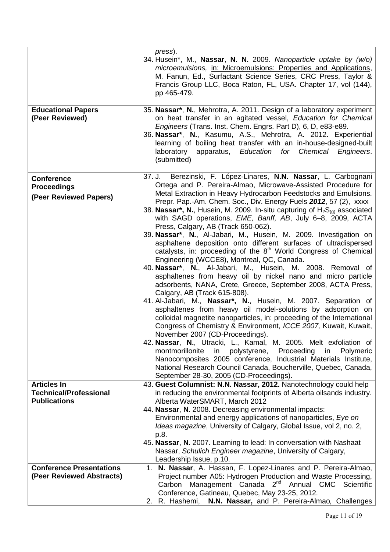| <b>Educational Papers</b><br>(Peer Reviewed)                               | press).<br>34. Husein*, M., Nassar, N. N. 2009. Nanoparticle uptake by (w/o)<br>microemulsions, in: Microemulsions: Properties and Applications,<br>M. Fanun, Ed., Surfactant Science Series, CRC Press, Taylor &<br>Francis Group LLC, Boca Raton, FL, USA. Chapter 17, vol (144),<br>pp 465-479.<br>35. Nassar*, N., Mehrotra, A. 2011. Design of a laboratory experiment<br>on heat transfer in an agitated vessel, Education for Chemical<br>Engineers (Trans. Inst. Chem. Engrs. Part D), 6, D, e83-e89.<br>36. Nassar*, N., Kasumu, A.S., Mehrotra, A. 2012. Experiential<br>learning of boiling heat transfer with an in-house-designed-built<br>laboratory apparatus, Education for Chemical Engineers.<br>(submitted)                                                                                                                                                                                                                                                                                                                                                                                                                                                                                                                                                                                                                                                                                                                                                                                                                                                                                        |
|----------------------------------------------------------------------------|-----------------------------------------------------------------------------------------------------------------------------------------------------------------------------------------------------------------------------------------------------------------------------------------------------------------------------------------------------------------------------------------------------------------------------------------------------------------------------------------------------------------------------------------------------------------------------------------------------------------------------------------------------------------------------------------------------------------------------------------------------------------------------------------------------------------------------------------------------------------------------------------------------------------------------------------------------------------------------------------------------------------------------------------------------------------------------------------------------------------------------------------------------------------------------------------------------------------------------------------------------------------------------------------------------------------------------------------------------------------------------------------------------------------------------------------------------------------------------------------------------------------------------------------------------------------------------------------------------------------------|
| <b>Conference</b><br><b>Proceedings</b><br>(Peer Reviewed Papers)          | Berezinski, F. López-Linares, N.N. Nassar, L. Carbognani<br>37. J.<br>Ortega and P. Pereira-Almao, Microwave-Assisted Procedure for<br>Metal Extraction in Heavy Hydrocarbon Feedstocks and Emulsions.<br>Prepr. Pap.-Am. Chem. Soc., Div. Energy Fuels 2012, 57 (2), xxxx<br>38. Nassar*, N., Husein, M. 2009. In-situ capturing of $H_2S_{(q)}$ associated<br>with SAGD operations, EME, Banff, AB, July 6-8, 2009, ACTA<br>Press, Calgary, AB (Track 650-062).<br>39. Nassar*, N., Al-Jabari, M., Husein, M. 2009. Investigation on<br>asphaltene deposition onto different surfaces of ultradispersed<br>catalysts, in: proceeding of the 8 <sup>th</sup> World Congress of Chemical<br>Engineering (WCCE8), Montreal, QC, Canada.<br>40. Nassar*, N., Al-Jabari, M., Husein, M. 2008. Removal of<br>asphaltenes from heavy oil by nickel nano and micro particle<br>adsorbents, NANA, Crete, Greece, September 2008, ACTA Press,<br>Calgary, AB (Track 615-808).<br>41. Al-Jabari, M., Nassar*, N., Husein, M. 2007. Separation of<br>asphaltenes from heavy oil model-solutions by adsorption on<br>colloidal magnetite nanoparticles, in: proceeding of the International<br>Congress of Chemistry & Environment, ICCE 2007, Kuwait, Kuwait,<br>November 2007 (CD-Proceedings).<br>42. Nassar, N., Utracki, L., Kamal, M. 2005. Melt exfoliation of<br>montmorillonite<br>in<br>polystyrene,<br>Proceeding<br>Polymeric<br>in<br>Nanocomposites 2005 conference, Industrial Materials Institute,<br>National Research Council Canada, Boucherville, Quebec, Canada,<br>September 28-30, 2005 (CD-Proceedings). |
| <b>Articles In</b><br><b>Technical/Professional</b><br><b>Publications</b> | 43. Guest Columnist: N.N. Nassar, 2012. Nanotechnology could help<br>in reducing the environmental footprints of Alberta oilsands industry.<br>Alberta WaterSMART, March 2012<br>44. Nassar, N. 2008. Decreasing environmental impacts:<br>Environmental and energy applications of nanoparticles, Eye on<br>Ideas magazine, University of Calgary, Global Issue, vol 2, no. 2,<br>p.8.<br>45. Nassar, N. 2007. Learning to lead: In conversation with Nashaat<br>Nassar, Schulich Engineer magazine, University of Calgary,<br>Leadership Issue, p.10.                                                                                                                                                                                                                                                                                                                                                                                                                                                                                                                                                                                                                                                                                                                                                                                                                                                                                                                                                                                                                                                               |
| <b>Conference Presentations</b><br>(Peer Reviewed Abstracts)               | 1. N. Nassar, A. Hassan, F. Lopez-Linares and P. Pereira-Almao,<br>Project number A05: Hydrogen Production and Waste Processing,<br>Management Canada 2 <sup>nd</sup><br>Annual CMC Scientific<br>Carbon<br>Conference, Gatineau, Quebec, May 23-25, 2012.<br>N.N. Nassar, and P. Pereira-Almao, Challenges<br>2. R. Hashemi,                                                                                                                                                                                                                                                                                                                                                                                                                                                                                                                                                                                                                                                                                                                                                                                                                                                                                                                                                                                                                                                                                                                                                                                                                                                                                         |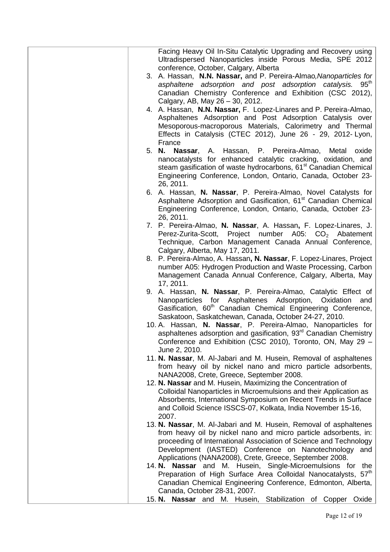| Facing Heavy Oil In-Situ Catalytic Upgrading and Recovery using<br>Ultradispersed Nanoparticles inside Porous Media, SPE 2012<br>conference, October, Calgary, Alberta                                  |
|---------------------------------------------------------------------------------------------------------------------------------------------------------------------------------------------------------|
| 3. A. Hassan, N.N. Nassar, and P. Pereira-Almao, Nanoparticles for<br>asphaltene adsorption and post adsorption catalysis. 95 <sup>th</sup><br>Canadian Chemistry Conference and Exhibition (CSC 2012), |
| Calgary, AB, May 26 - 30, 2012.                                                                                                                                                                         |
| 4. A. Hassan, N.N. Nassar, F. Lopez-Linares and P. Pereira-Almao,<br>Asphaltenes Adsorption and Post Adsorption Catalysis over                                                                          |
| Mesoporous-macroporous Materials, Calorimetry and Thermal                                                                                                                                               |
| Effects in Catalysis (CTEC 2012), June 26 - 29, 2012- Lyon,<br>France                                                                                                                                   |
| 5. N. Nassar, A. Hassan, P. Pereira-Almao, Metal oxide                                                                                                                                                  |
| nanocatalysts for enhanced catalytic cracking, oxidation, and<br>steam gasification of waste hydrocarbons, 61 <sup>st</sup> Canadian Chemical                                                           |
| Engineering Conference, London, Ontario, Canada, October 23-<br>26, 2011.                                                                                                                               |
| 6. A. Hassan, N. Nassar, P. Pereira-Almao, Novel Catalysts for                                                                                                                                          |
| Asphaltene Adsorption and Gasification, 61 <sup>st</sup> Canadian Chemical<br>Engineering Conference, London, Ontario, Canada, October 23-<br>26, 2011.                                                 |
| 7. P. Pereira-Almao, N. Nassar, A. Hassan, F. Lopez-Linares, J.                                                                                                                                         |
| Perez-Zurita-Scott, Project number A05: CO <sub>2</sub> Abatement                                                                                                                                       |
| Technique, Carbon Management Canada Annual Conference,<br>Calgary, Alberta, May 17, 2011.                                                                                                               |
| 8. P. Pereira-Almao, A. Hassan, N. Nassar, F. Lopez-Linares, Project                                                                                                                                    |
| number A05: Hydrogen Production and Waste Processing, Carbon<br>Management Canada Annual Conference, Calgary, Alberta, May<br>17, 2011.                                                                 |
| 9. A. Hassan, N. Nassar, P. Pereira-Almao, Catalytic Effect of                                                                                                                                          |
| Nanoparticles for Asphaltenes Adsorption, Oxidation<br>and<br>Gasification, 60 <sup>th</sup> Canadian Chemical Engineering Conference,<br>Saskatoon, Saskatchewan, Canada, October 24-27, 2010.         |
| 10. A. Hassan, N. Nassar, P. Pereira-Almao, Nanoparticles for                                                                                                                                           |
| asphaltenes adsorption and gasification, 93 <sup>rd</sup> Canadian Chemistry<br>Conference and Exhibition (CSC 2010), Toronto, ON, May 29 -<br>June 2, 2010.                                            |
| 11. N. Nassar, M. Al-Jabari and M. Husein, Removal of asphaltenes                                                                                                                                       |
| from heavy oil by nickel nano and micro particle adsorbents,                                                                                                                                            |
| NANA2008, Crete, Greece, September 2008.<br>12. N. Nassar and M. Husein, Maximizing the Concentration of                                                                                                |
| Colloidal Nanoparticles in Microemulsions and their Application as                                                                                                                                      |
| Absorbents, International Symposium on Recent Trends in Surface<br>and Colloid Science ISSCS-07, Kolkata, India November 15-16,<br>2007.                                                                |
| 13. N. Nassar, M. Al-Jabari and M. Husein, Removal of asphaltenes                                                                                                                                       |
| from heavy oil by nickel nano and micro particle adsorbents, in:                                                                                                                                        |
| proceeding of International Association of Science and Technology<br>Development (IASTED) Conference on Nanotechnology<br>and                                                                           |
| Applications (NANA2008), Crete, Greece, September 2008.                                                                                                                                                 |
| 14. N. Nassar and M. Husein, Single-Microemulsions for the                                                                                                                                              |
| Preparation of High Surface Area Colloidal Nanocatalysts, 57th<br>Canadian Chemical Engineering Conference, Edmonton, Alberta,                                                                          |
| Canada, October 28-31, 2007.                                                                                                                                                                            |
| 15. N. Nassar and M. Husein, Stabilization of Copper Oxide                                                                                                                                              |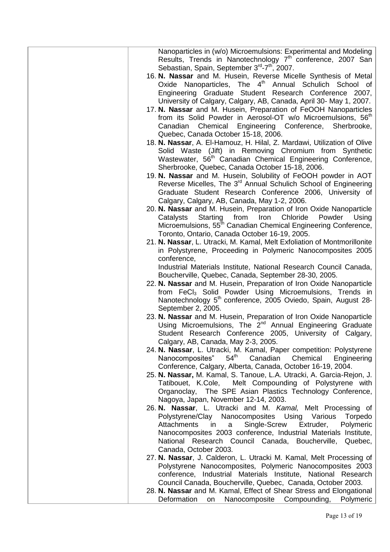| Nanoparticles in (w/o) Microemulsions: Experimental and Modeling<br>Results, Trends in Nanotechnology 7 <sup>th</sup> conference, 2007 San<br>Sebastian, Spain, September 3rd-7th, 2007. |
|------------------------------------------------------------------------------------------------------------------------------------------------------------------------------------------|
| 16. N. Nassar and M. Husein, Reverse Micelle Synthesis of Metal                                                                                                                          |
| Oxide Nanoparticles, The 4 <sup>th</sup> Annual Schulich School of                                                                                                                       |
| Engineering Graduate Student Research Conference 2007,                                                                                                                                   |
| University of Calgary, Calgary, AB, Canada, April 30- May 1, 2007.                                                                                                                       |
| 17. N. Nassar and M. Husein, Preparation of FeOOH Nanoparticles                                                                                                                          |
| from its Solid Powder in Aerosol-OT w/o Microemulsions, 56 <sup>th</sup>                                                                                                                 |
| Canadian Chemical Engineering Conference, Sherbrooke,                                                                                                                                    |
| Quebec, Canada October 15-18, 2006.                                                                                                                                                      |
| 18. N. Nassar, A. El-Hamouz, H. Hilal, Z. Mardawi, Utilization of Olive                                                                                                                  |
| Solid Waste (Jift) in Removing Chromium from Synthetic                                                                                                                                   |
| Wastewater, 56 <sup>th</sup> Canadian Chemical Engineering Conference,                                                                                                                   |
| Sherbrooke, Quebec, Canada October 15-18, 2006.<br>19. N. Nassar and M. Husein, Solubility of FeOOH powder in AOT                                                                        |
| Reverse Micelles, The 3 <sup>rd</sup> Annual Schulich School of Engineering                                                                                                              |
| Graduate Student Research Conference 2006, University of                                                                                                                                 |
| Calgary, Calgary, AB, Canada, May 1-2, 2006.                                                                                                                                             |
| 20. N. Nassar and M. Husein, Preparation of Iron Oxide Nanoparticle                                                                                                                      |
| Chloride<br>Starting<br>from<br>Iron<br>Powder<br>Using<br>Catalysts                                                                                                                     |
| Microemulsions, 55 <sup>th</sup> Canadian Chemical Engineering Conference,                                                                                                               |
| Toronto, Ontario, Canada October 16-19, 2005.                                                                                                                                            |
| 21. N. Nassar, L. Utracki, M. Kamal, Melt Exfoliation of Montmorillonite                                                                                                                 |
| in Polystyrene, Proceeding in Polymeric Nanocomposites 2005                                                                                                                              |
| conference,                                                                                                                                                                              |
| Industrial Materials Institute, National Research Council Canada,<br>Boucherville, Quebec, Canada, September 28-30, 2005.                                                                |
| 22. N. Nassar and M. Husein, Preparation of Iron Oxide Nanoparticle                                                                                                                      |
| from FeCl <sub>3</sub> Solid Powder Using Microemulsions, Trends in                                                                                                                      |
| Nanotechnology 5 <sup>th</sup> conference, 2005 Oviedo, Spain, August 28-                                                                                                                |
| September 2, 2005.                                                                                                                                                                       |
| 23. N. Nassar and M. Husein, Preparation of Iron Oxide Nanoparticle                                                                                                                      |
| Using Microemulsions, The 2 <sup>nd</sup> Annual Engineering Graduate                                                                                                                    |
| Student Research Conference 2005, University of Calgary,                                                                                                                                 |
| Calgary, AB, Canada, May 2-3, 2005.                                                                                                                                                      |
| 24. N. Nassar, L. Utracki, M. Kamal, Paper competition: Polystyrene<br>$54^{\sf th}$<br>Canadian<br>Nanocomposites"<br>Chemical<br>Engineering                                           |
| Conference, Calgary, Alberta, Canada, October 16-19, 2004.                                                                                                                               |
| 25. N. Nassar, M. Kamal, S. Tanoue, L.A. Utracki, A. Garcia-Rejon, J.                                                                                                                    |
| Tatibouet, K.Cole, Melt Compounding of Polystyrene with                                                                                                                                  |
| Organoclay, The SPE Asian Plastics Technology Conference,                                                                                                                                |
| Nagoya, Japan, November 12-14, 2003.                                                                                                                                                     |
| 26. N. Nassar, L. Utracki and M. Kamal, Melt Processing of                                                                                                                               |
| Polystyrene/Clay Nanocomposites Using Various<br>Torpedo                                                                                                                                 |
| Single-Screw<br>Polymeric<br>Extruder,<br>Attachments<br>in<br>a                                                                                                                         |
| Nanocomposites 2003 conference, Industrial Materials Institute,<br>National Research Council Canada, Boucherville, Quebec,                                                               |
| Canada, October 2003.                                                                                                                                                                    |
| 27. N. Nassar, J. Calderon, L. Utracki M. Kamal, Melt Processing of                                                                                                                      |
| Polystyrene Nanocomposites, Polymeric Nanocomposites 2003                                                                                                                                |
| conference, Industrial Materials Institute, National Research                                                                                                                            |
| Council Canada, Boucherville, Quebec, Canada, October 2003.                                                                                                                              |
| 28. N. Nassar and M. Kamal, Effect of Shear Stress and Elongational                                                                                                                      |
| Deformation on Nanocomposite Compounding, Polymeric                                                                                                                                      |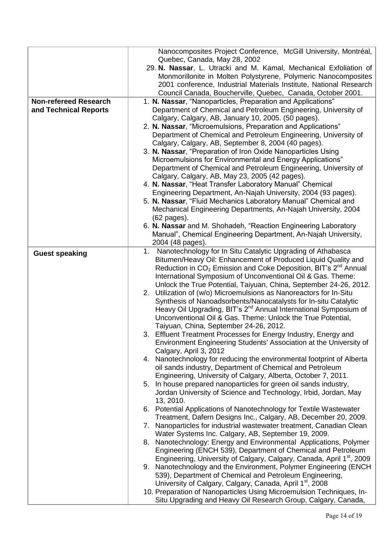|                              | Nanocomposites Project Conference, McGill University, Montréal,<br>Quebec, Canada, May 28, 2002                                                   |
|------------------------------|---------------------------------------------------------------------------------------------------------------------------------------------------|
|                              | 29. N. Nassar, L. Utracki and M. Kamal, Mechanical Exfoliation of                                                                                 |
|                              | Monmorillonite in Molten Polystyrene, Polymeric Nanocomposites                                                                                    |
|                              | 2001 conference, Industrial Materials Institute, National Research                                                                                |
|                              | Council Canada, Boucherville, Quebec, Canada, October 2001.                                                                                       |
| <b>Non-refereed Research</b> | 1. N. Nassar, "Nanoparticles, Preparation and Applications"                                                                                       |
| and Technical Reports        | Department of Chemical and Petroleum Engineering, University of<br>Calgary, Calgary, AB, January 10, 2005. (50 pages).                            |
|                              | 2. N. Nassar, "Microemulsions, Preparation and Applications"                                                                                      |
|                              | Department of Chemical and Petroleum Engineering, University of                                                                                   |
|                              | Calgary, Calgary, AB, September 8, 2004 (40 pages).                                                                                               |
|                              | 3. N. Nassar, "Preparation of Iron Oxide Nanoparticles Using                                                                                      |
|                              | Microemulsions for Environmental and Energy Applications"                                                                                         |
|                              | Department of Chemical and Petroleum Engineering, University of                                                                                   |
|                              | Calgary, Calgary, AB, May 23, 2005 (42 pages).<br>4. N. Nassar, "Heat Transfer Laboratory Manual" Chemical                                        |
|                              | Engineering Department, An-Najah University, 2004 (93 pages).                                                                                     |
|                              | 5. N. Nassar, "Fluid Mechanics Laboratory Manual" Chemical and                                                                                    |
|                              | Mechanical Engineering Departments, An-Najah University, 2004                                                                                     |
|                              | (62 pages).                                                                                                                                       |
|                              | 6. N. Nassar and M. Shohadeh, "Reaction Engineering Laboratory                                                                                    |
|                              | Manual", Chemical Engineering Department, An-Najah University,                                                                                    |
|                              | 2004 (48 pages).<br>1.<br>Nanotechnology for In Situ Catalytic Upgrading of Athabasca                                                             |
| <b>Guest speaking</b>        | Bitumen/Heavy Oil: Enhancement of Produced Liquid Quality and                                                                                     |
|                              | Reduction in $CO2$ Emission and Coke Deposition, BIT's $2nd$ Annual                                                                               |
|                              | International Symposium of Unconventional Oil & Gas. Theme:                                                                                       |
|                              | Unlock the True Potential, Taiyuan, China, September 24-26, 2012.                                                                                 |
|                              | 2. Utilization of (w/o) Microemulsions as Nanoreactors for In-Situ                                                                                |
|                              | Synthesis of Nanoadsorbents/Nanocatalysts for In-situ Catalytic                                                                                   |
|                              | Heavy Oil Upgrading, BIT's 2 <sup>nd</sup> Annual International Symposium of<br>Unconventional Oil & Gas. Theme: Unlock the True Potential,       |
|                              | Taiyuan, China, September 24-26, 2012.                                                                                                            |
|                              | 3. Effluent Treatment Processes for Energy Industry, Energy and                                                                                   |
|                              | Environment Engineering Students' Association at the University of                                                                                |
|                              | Calgary, April 3, 2012                                                                                                                            |
|                              | 4. Nanotechnology for reducing the environmental footprint of Alberta                                                                             |
|                              | oil sands industry, Department of Chemical and Petroleum                                                                                          |
|                              | Engineering, University of Calgary, Alberta, October 7, 2011.                                                                                     |
|                              | 5. In house prepared nanoparticles for green oil sands industry,<br>Jordan University of Science and Technology, Irbid, Jordan, May               |
|                              | 13, 2010.                                                                                                                                         |
|                              | 6. Potential Applications of Nanotechnology for Textile Wastewater                                                                                |
|                              | Treatment, Dafern Designs Inc., Calgary, AB, December 20, 2009.                                                                                   |
|                              | 7. Nanoparticles for industrial wastewater treatment, Canadian Clean                                                                              |
|                              | Water Systems Inc. Calgary, AB, September 19, 2009.                                                                                               |
|                              | 8. Nanotechnology: Energy and Environmental Applications, Polymer                                                                                 |
|                              | Engineering (ENCH 539), Department of Chemical and Petroleum<br>Engineering, University of Calgary, Calgary, Canada, April 1 <sup>st</sup> , 2009 |
|                              | 9. Nanotechnology and the Environment, Polymer Engineering (ENCH                                                                                  |
|                              | 539), Department of Chemical and Petroleum Engineering,                                                                                           |
|                              | University of Calgary, Calgary, Canada, April 1 <sup>st</sup> , 2008                                                                              |
|                              | 10. Preparation of Nanoparticles Using Microemulsion Techniques, In-                                                                              |
|                              | Situ Upgrading and Heavy Oil Research Group, Calgary, Canada,                                                                                     |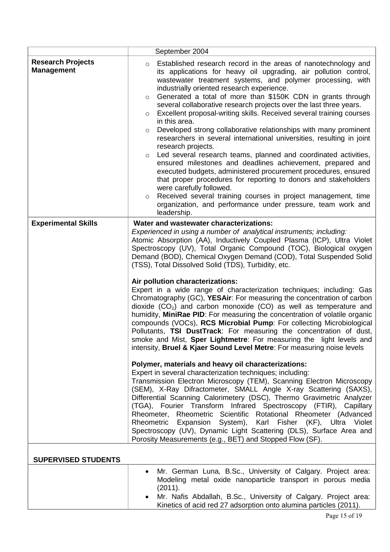|                                               | September 2004                                                                                                                                                                                                                                                                                                                                                                                                                                                                                                                                                                                                                                                                                                                                                                                                                                                                                                                                                                                                                                                                                                                                                     |
|-----------------------------------------------|--------------------------------------------------------------------------------------------------------------------------------------------------------------------------------------------------------------------------------------------------------------------------------------------------------------------------------------------------------------------------------------------------------------------------------------------------------------------------------------------------------------------------------------------------------------------------------------------------------------------------------------------------------------------------------------------------------------------------------------------------------------------------------------------------------------------------------------------------------------------------------------------------------------------------------------------------------------------------------------------------------------------------------------------------------------------------------------------------------------------------------------------------------------------|
| <b>Research Projects</b><br><b>Management</b> | Established research record in the areas of nanotechnology and<br>$\circ$<br>its applications for heavy oil upgrading, air pollution control,<br>wastewater treatment systems, and polymer processing, with<br>industrially oriented research experience.<br>Generated a total of more than \$150K CDN in grants through<br>$\circ$<br>several collaborative research projects over the last three years.<br>Excellent proposal-writing skills. Received several training courses<br>$\circ$<br>in this area.<br>Developed strong collaborative relationships with many prominent<br>$\circ$<br>researchers in several international universities, resulting in joint<br>research projects.<br>Led several research teams, planned and coordinated activities,<br>$\circ$<br>ensured milestones and deadlines achievement, prepared and<br>executed budgets, administered procurement procedures, ensured<br>that proper procedures for reporting to donors and stakeholders<br>were carefully followed.<br>Received several training courses in project management, time<br>$\circ$<br>organization, and performance under pressure, team work and<br>leadership. |
| <b>Experimental Skills</b>                    | Water and wastewater characterizations:<br>Experienced in using a number of analytical instruments; including:<br>Atomic Absorption (AA), Inductively Coupled Plasma (ICP), Ultra Violet<br>Spectroscopy (UV), Total Organic Compound (TOC), Biological oxygen<br>Demand (BOD), Chemical Oxygen Demand (COD), Total Suspended Solid<br>(TSS), Total Dissolved Solid (TDS), Turbidity, etc.<br>Air pollution characterizations:<br>Expert in a wide range of characterization techniques; including: Gas<br>Chromatography (GC), YESAir: For measuring the concentration of carbon<br>dioxide $(CO2)$ and carbon monoxide $(CO)$ as well as temperature and<br>humidity, MiniRae PID: For measuring the concentration of volatile organic<br>compounds (VOCs), RCS Microbial Pump: For collecting Microbiological<br>Pollutants, TSI DustTrack: For measuring the concentration of dust,<br>smoke and Mist, <b>Sper Lightmetre</b> : For measuring the light levels and<br>intensity, Bruel & Kjaer Sound Level Metre: For measuring noise levels                                                                                                                   |
|                                               | Polymer, materials and heavy oil characterizations:<br>Expert in several characterization techniques; including:<br>Transmission Electron Microscopy (TEM), Scanning Electron Microscopy<br>(SEM), X-Ray Difractometer, SMALL Angle X-ray Scattering (SAXS),<br>Differential Scanning Calorimetery (DSC), Thermo Gravimetric Analyzer<br>(TGA), Fourier Transform Infrared Spectroscopy (FTIR), Capillary<br>Rheometer, Rheometric Scientific Rotational Rheometer (Advanced<br>Rheometric Expansion System), Karl Fisher (KF), Ultra Violet<br>Spectroscopy (UV), Dynamic Light Scattering (DLS), Surface Area and<br>Porosity Measurements (e.g., BET) and Stopped Flow (SF).                                                                                                                                                                                                                                                                                                                                                                                                                                                                                    |
| <b>SUPERVISED STUDENTS</b>                    |                                                                                                                                                                                                                                                                                                                                                                                                                                                                                                                                                                                                                                                                                                                                                                                                                                                                                                                                                                                                                                                                                                                                                                    |
|                                               | Mr. German Luna, B.Sc., University of Calgary. Project area:<br>Modeling metal oxide nanoparticle transport in porous media<br>(2011).<br>Mr. Nafis Abdallah, B.Sc., University of Calgary. Project area:<br>Kinetics of acid red 27 adsorption onto alumina particles (2011).                                                                                                                                                                                                                                                                                                                                                                                                                                                                                                                                                                                                                                                                                                                                                                                                                                                                                     |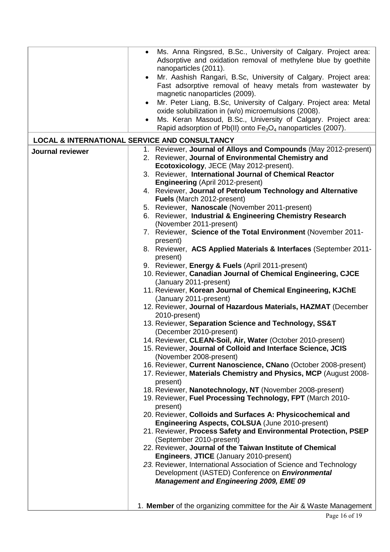|                         | Ms. Anna Ringsred, B.Sc., University of Calgary. Project area:<br>$\bullet$<br>Adsorptive and oxidation removal of methylene blue by goethite<br>nanoparticles (2011).<br>Mr. Aashish Rangari, B.Sc, University of Calgary. Project area:<br>Fast adsorptive removal of heavy metals from wastewater by<br>magnetic nanoparticles (2009). |
|-------------------------|-------------------------------------------------------------------------------------------------------------------------------------------------------------------------------------------------------------------------------------------------------------------------------------------------------------------------------------------|
|                         | Mr. Peter Liang, B.Sc, University of Calgary. Project area: Metal<br>$\bullet$                                                                                                                                                                                                                                                            |
|                         | oxide solubilization in (w/o) microemulsions (2008).                                                                                                                                                                                                                                                                                      |
|                         | Ms. Keran Masoud, B.Sc., University of Calgary. Project area:<br>$\bullet$                                                                                                                                                                                                                                                                |
|                         | Rapid adsorption of Pb(II) onto $Fe3O4$ nanoparticles (2007).                                                                                                                                                                                                                                                                             |
|                         | <b>LOCAL &amp; INTERNATIONAL SERVICE AND CONSULTANCY</b>                                                                                                                                                                                                                                                                                  |
| <b>Journal reviewer</b> | 1. Reviewer, Journal of Alloys and Compounds (May 2012-present)                                                                                                                                                                                                                                                                           |
|                         | 2. Reviewer, Journal of Environmental Chemistry and                                                                                                                                                                                                                                                                                       |
|                         | Ecotoxicology, JECE (May 2012-present).                                                                                                                                                                                                                                                                                                   |
|                         | 3. Reviewer, International Journal of Chemical Reactor                                                                                                                                                                                                                                                                                    |
|                         | <b>Engineering (April 2012-present)</b>                                                                                                                                                                                                                                                                                                   |
|                         | 4. Reviewer, Journal of Petroleum Technology and Alternative                                                                                                                                                                                                                                                                              |
|                         | Fuels (March 2012-present)                                                                                                                                                                                                                                                                                                                |
|                         | 5. Reviewer, Nanoscale (November 2011-present)                                                                                                                                                                                                                                                                                            |
|                         | 6. Reviewer, Industrial & Engineering Chemistry Research                                                                                                                                                                                                                                                                                  |
|                         | (November 2011-present)                                                                                                                                                                                                                                                                                                                   |
|                         | 7. Reviewer, Science of the Total Environment (November 2011-                                                                                                                                                                                                                                                                             |
|                         | present)<br>8. Reviewer, ACS Applied Materials & Interfaces (September 2011-                                                                                                                                                                                                                                                              |
|                         | present)                                                                                                                                                                                                                                                                                                                                  |
|                         | 9. Reviewer, Energy & Fuels (April 2011-present)                                                                                                                                                                                                                                                                                          |
|                         | 10. Reviewer, Canadian Journal of Chemical Engineering, CJCE                                                                                                                                                                                                                                                                              |
|                         | (January 2011-present)                                                                                                                                                                                                                                                                                                                    |
|                         | 11. Reviewer, Korean Journal of Chemical Engineering, KJChE                                                                                                                                                                                                                                                                               |
|                         | (January 2011-present)                                                                                                                                                                                                                                                                                                                    |
|                         | 12. Reviewer, Journal of Hazardous Materials, HAZMAT (December                                                                                                                                                                                                                                                                            |
|                         | 2010-present)                                                                                                                                                                                                                                                                                                                             |
|                         | 13. Reviewer, Separation Science and Technology, SS&T<br>(December 2010-present)                                                                                                                                                                                                                                                          |
|                         | 14. Reviewer, CLEAN-Soil, Air, Water (October 2010-present)                                                                                                                                                                                                                                                                               |
|                         | 15. Reviewer, Journal of Colloid and Interface Science, JCIS                                                                                                                                                                                                                                                                              |
|                         | (November 2008-present)                                                                                                                                                                                                                                                                                                                   |
|                         | 16. Reviewer, Current Nanoscience, CNano (October 2008-present)                                                                                                                                                                                                                                                                           |
|                         | 17. Reviewer, Materials Chemistry and Physics, MCP (August 2008-                                                                                                                                                                                                                                                                          |
|                         | present)<br>18. Reviewer, Nanotechnology, NT (November 2008-present)                                                                                                                                                                                                                                                                      |
|                         | 19. Reviewer, Fuel Processing Technology, FPT (March 2010-                                                                                                                                                                                                                                                                                |
|                         | present)                                                                                                                                                                                                                                                                                                                                  |
|                         | 20. Reviewer, Colloids and Surfaces A: Physicochemical and                                                                                                                                                                                                                                                                                |
|                         | Engineering Aspects, COLSUA (June 2010-present)                                                                                                                                                                                                                                                                                           |
|                         | 21. Reviewer, Process Safety and Environmental Protection, PSEP                                                                                                                                                                                                                                                                           |
|                         | (September 2010-present)                                                                                                                                                                                                                                                                                                                  |
|                         | 22. Reviewer, Journal of the Taiwan Institute of Chemical                                                                                                                                                                                                                                                                                 |
|                         | <b>Engineers, JTICE (January 2010-present)</b>                                                                                                                                                                                                                                                                                            |
|                         | 23. Reviewer, International Association of Science and Technology                                                                                                                                                                                                                                                                         |
|                         | Development (IASTED) Conference on <i>Environmental</i>                                                                                                                                                                                                                                                                                   |
|                         | <b>Management and Engineering 2009, EME 09</b>                                                                                                                                                                                                                                                                                            |
|                         |                                                                                                                                                                                                                                                                                                                                           |
|                         | 1. Member of the organizing committee for the Air & Waste Management                                                                                                                                                                                                                                                                      |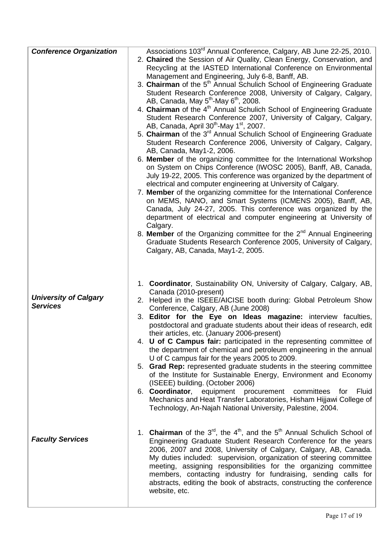| <b>Conference Organization</b> | Associations 103 <sup>rd</sup> Annual Conference, Calgary, AB June 22-25, 2010.                                                                                    |
|--------------------------------|--------------------------------------------------------------------------------------------------------------------------------------------------------------------|
|                                | 2. Chaired the Session of Air Quality, Clean Energy, Conservation, and                                                                                             |
|                                | Recycling at the IASTED International Conference on Environmental                                                                                                  |
|                                | Management and Engineering, July 6-8, Banff, AB.                                                                                                                   |
|                                | 3. Chairman of the 5 <sup>th</sup> Annual Schulich School of Engineering Graduate                                                                                  |
|                                | Student Research Conference 2008, University of Calgary, Calgary,                                                                                                  |
|                                | AB, Canada, May $5^{th}$ -May $6^{th}$ , 2008.                                                                                                                     |
|                                | 4. Chairman of the 4 <sup>th</sup> Annual Schulich School of Engineering Graduate                                                                                  |
|                                | Student Research Conference 2007, University of Calgary, Calgary,<br>AB, Canada, April 30 <sup>th</sup> -May 1 <sup>st</sup> , 2007.                               |
|                                | 5. Chairman of the 3 <sup>rd</sup> Annual Schulich School of Engineering Graduate                                                                                  |
|                                | Student Research Conference 2006, University of Calgary, Calgary,                                                                                                  |
|                                | AB, Canada, May1-2, 2006.                                                                                                                                          |
|                                | 6. Member of the organizing committee for the International Workshop                                                                                               |
|                                | on System on Chips Conference (IWOSC 2005), Banff, AB, Canada,                                                                                                     |
|                                | July 19-22, 2005. This conference was organized by the department of                                                                                               |
|                                | electrical and computer engineering at University of Calgary.                                                                                                      |
|                                | 7. Member of the organizing committee for the International Conference                                                                                             |
|                                | on MEMS, NANO, and Smart Systems (ICMENS 2005), Banff, AB,                                                                                                         |
|                                | Canada, July 24-27, 2005. This conference was organized by the<br>department of electrical and computer engineering at University of                               |
|                                | Calgary.                                                                                                                                                           |
|                                | 8. Member of the Organizing committee for the $2^{nd}$ Annual Engineering                                                                                          |
|                                | Graduate Students Research Conference 2005, University of Calgary,                                                                                                 |
|                                | Calgary, AB, Canada, May1-2, 2005.                                                                                                                                 |
|                                |                                                                                                                                                                    |
|                                |                                                                                                                                                                    |
|                                |                                                                                                                                                                    |
|                                | 1. Coordinator, Sustainability ON, University of Calgary, Calgary, AB,                                                                                             |
|                                |                                                                                                                                                                    |
| <b>University of Calgary</b>   | Canada (2010-present)                                                                                                                                              |
| <b>Services</b>                | 2. Helped in the ISEEE/AICISE booth during: Global Petroleum Show                                                                                                  |
|                                | Conference, Calgary, AB (June 2008)<br>3. Editor for the Eye on Ideas magazine: interview faculties,                                                               |
|                                | postdoctoral and graduate students about their ideas of research, edit                                                                                             |
|                                | their articles, etc. (January 2006-present)                                                                                                                        |
|                                |                                                                                                                                                                    |
|                                | the department of chemical and petroleum engineering in the annual                                                                                                 |
|                                | U of C campus fair for the years 2005 to 2009.                                                                                                                     |
|                                | 5. Grad Rep: represented graduate students in the steering committee                                                                                               |
|                                | of the Institute for Sustainable Energy, Environment and Economy                                                                                                   |
|                                | (ISEEE) building. (October 2006)<br>6. Coordinator, equipment procurement committees for<br>Fluid                                                                  |
|                                |                                                                                                                                                                    |
|                                | Technology, An-Najah National University, Palestine, 2004.                                                                                                         |
|                                |                                                                                                                                                                    |
|                                | 4. U of C Campus fair: participated in the representing committee of<br>Mechanics and Heat Transfer Laboratories, Hisham Hijjawi College of                        |
|                                |                                                                                                                                                                    |
| <b>Faculty Services</b>        | Engineering Graduate Student Research Conference for the years                                                                                                     |
|                                | 1. <b>Chairman</b> of the $3^{rd}$ , the $4^{th}$ , and the $5^{th}$ Annual Schulich School of<br>2006, 2007 and 2008, University of Calgary, Calgary, AB, Canada. |
|                                | My duties included: supervision, organization of steering committee<br>meeting, assigning responsibilities for the organizing committee                            |
|                                | members, contacting industry for fundraising, sending calls for                                                                                                    |
|                                | abstracts, editing the book of abstracts, constructing the conference                                                                                              |
|                                | website, etc.                                                                                                                                                      |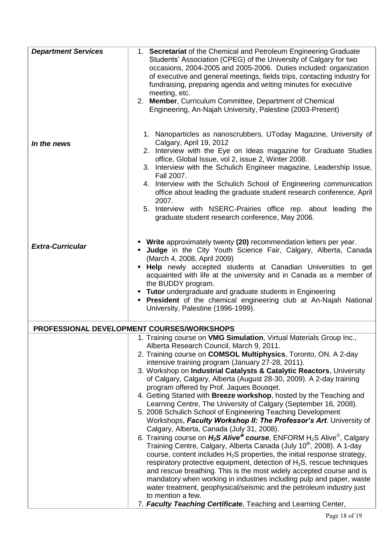| <b>Department Services</b> | 1. Secretariat of the Chemical and Petroleum Engineering Graduate<br>Students' Association (CPEG) of the University of Calgary for two<br>occasions, 2004-2005 and 2005-2006. Duties included: organization<br>of executive and general meetings, fields trips, contacting industry for<br>fundraising, preparing agenda and writing minutes for executive<br>meeting, etc.<br>2. Member, Curriculum Committee, Department of Chemical<br>Engineering, An-Najah University, Palestine (2003-Present)                                                                                                                                                                                                                                                                                                                                                                                                                                                                                                                                                                                                                                                                                                                                                                                                                                                                                                                                          |
|----------------------------|-----------------------------------------------------------------------------------------------------------------------------------------------------------------------------------------------------------------------------------------------------------------------------------------------------------------------------------------------------------------------------------------------------------------------------------------------------------------------------------------------------------------------------------------------------------------------------------------------------------------------------------------------------------------------------------------------------------------------------------------------------------------------------------------------------------------------------------------------------------------------------------------------------------------------------------------------------------------------------------------------------------------------------------------------------------------------------------------------------------------------------------------------------------------------------------------------------------------------------------------------------------------------------------------------------------------------------------------------------------------------------------------------------------------------------------------------|
| In the news                | 1. Nanoparticles as nanoscrubbers, UToday Magazine, University of<br>Calgary, April 19, 2012<br>2. Interview with the Eye on Ideas magazine for Graduate Studies<br>office, Global Issue, vol 2, issue 2, Winter 2008.<br>3. Interview with the Schulich Engineer magazine, Leadership Issue,<br>Fall 2007.<br>4. Interview with the Schulich School of Engineering communication<br>office about leading the graduate student research conference, April<br>2007.<br>5. Interview with NSERC-Prairies office rep. about leading the<br>graduate student research conference, May 2006.                                                                                                                                                                                                                                                                                                                                                                                                                                                                                                                                                                                                                                                                                                                                                                                                                                                       |
| <b>Extra-Curricular</b>    | Write approximately twenty (20) recommendation letters per year.<br>Judge in the City Youth Science Fair, Calgary, Alberta, Canada<br>(March 4, 2008, April 2009)<br>Help newly accepted students at Canadian Universities to get<br>acquainted with life at the university and in Canada as a member of<br>the BUDDY program.<br>Tutor undergraduate and graduate students in Engineering<br><b>President</b> of the chemical engineering club at An-Najah National<br>University, Palestine (1996-1999).                                                                                                                                                                                                                                                                                                                                                                                                                                                                                                                                                                                                                                                                                                                                                                                                                                                                                                                                    |
|                            | PROFESSIONAL DEVELOPMENT COURSES/WORKSHOPS                                                                                                                                                                                                                                                                                                                                                                                                                                                                                                                                                                                                                                                                                                                                                                                                                                                                                                                                                                                                                                                                                                                                                                                                                                                                                                                                                                                                    |
|                            | 1. Training course on VMG Simulation, Virtual Materials Group Inc.,<br>Alberta Research Council, March 9, 2011.<br>2. Training course on COMSOL Multiphysics, Toronto, ON. A 2-day<br>intensive training program (January 27-28, 2011).<br>3. Workshop on Industrial Catalysts & Catalytic Reactors, University<br>of Calgary, Calgary, Alberta (August 28-30, 2009). A 2-day training<br>program offered by Prof. Jaques Bousget.<br>4. Getting Started with Breeze workshop, hosted by the Teaching and<br>Learning Centre, The University of Calgary (September 16, 2008).<br>5. 2008 Schulich School of Engineering Teaching Development<br>Workshops, Faculty Workshop II: The Professor's Art. University of<br>Calgary, Alberta, Canada (July 31, 2008).<br>6. Training course on $H_2S$ Alive <sup>®</sup> course, ENFORM H <sub>2</sub> S Alive <sup>®</sup> , Calgary<br>Training Centre, Calgary, Alberta Canada (July 10 <sup>th</sup> , 2008). A 1-day<br>course, content includes $H_2S$ properties, the initial response strategy,<br>respiratory protective equipment, detection of $H_2S$ , rescue techniques<br>and rescue breathing. This is the most widely accepted course and is<br>mandatory when working in industries including pulp and paper, waste<br>water treatment, geophysical/seismic and the petroleum industry just<br>to mention a few.<br>7. Faculty Teaching Certificate, Teaching and Learning Center, |